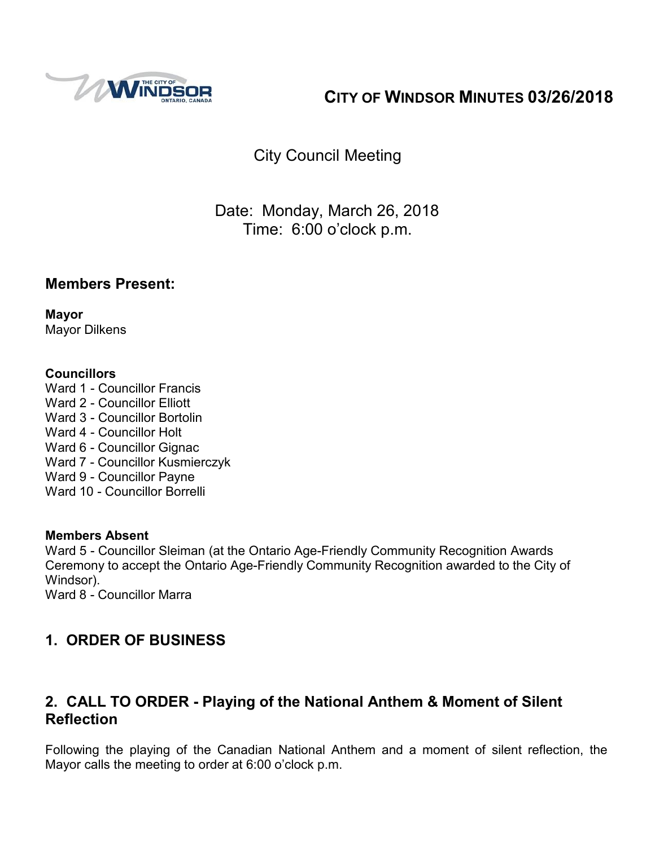

# **CITY OF WINDSOR MINUTES 03/26/2018**

City Council Meeting

Date: Monday, March 26, 2018 Time: 6:00 o'clock p.m.

### **Members Present:**

**Mayor** Mayor Dilkens

### **Councillors**

Ward 1 - Councillor Francis Ward 2 - Councillor Elliott Ward 3 - Councillor Bortolin Ward 4 - Councillor Holt Ward 6 - Councillor Gignac Ward 7 - Councillor Kusmierczyk Ward 9 - Councillor Payne Ward 10 - Councillor Borrelli

#### **Members Absent**

Ward 5 - Councillor Sleiman (at the Ontario Age-Friendly Community Recognition Awards Ceremony to accept the Ontario Age-Friendly Community Recognition awarded to the City of Windsor).

Ward 8 - Councillor Marra

# **1. ORDER OF BUSINESS**

### **2. CALL TO ORDER - Playing of the National Anthem & Moment of Silent Reflection**

Following the playing of the Canadian National Anthem and a moment of silent reflection, the Mayor calls the meeting to order at 6:00 o'clock p.m.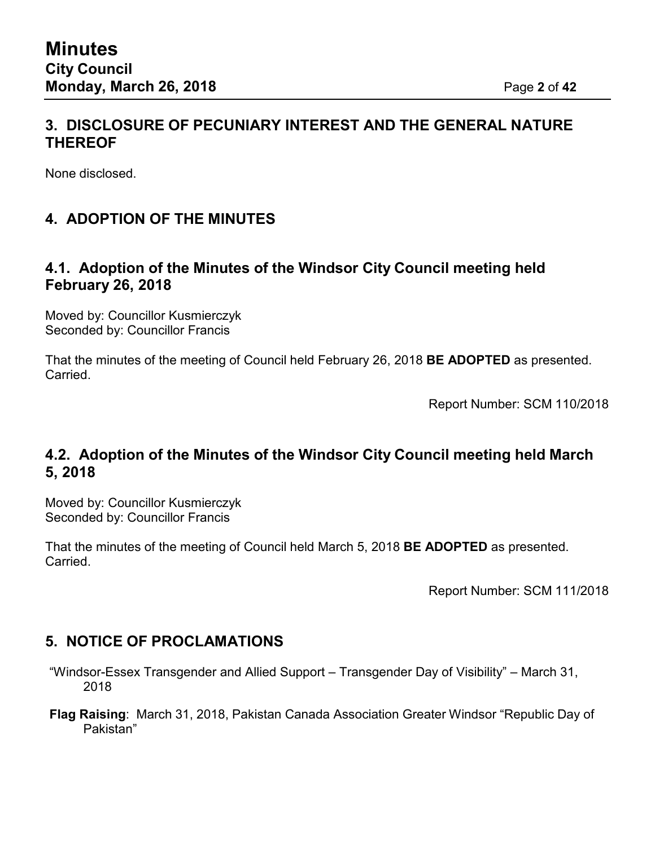### **3. DISCLOSURE OF PECUNIARY INTEREST AND THE GENERAL NATURE THEREOF**

None disclosed.

# **4. ADOPTION OF THE MINUTES**

### **4.1. Adoption of the Minutes of the Windsor City Council meeting held February 26, 2018**

Moved by: Councillor Kusmierczyk Seconded by: Councillor Francis

That the minutes of the meeting of Council held February 26, 2018 **BE ADOPTED** as presented. Carried.

Report Number: SCM 110/2018

### **4.2. Adoption of the Minutes of the Windsor City Council meeting held March 5, 2018**

Moved by: Councillor Kusmierczyk Seconded by: Councillor Francis

That the minutes of the meeting of Council held March 5, 2018 **BE ADOPTED** as presented. Carried.

Report Number: SCM 111/2018

### **5. NOTICE OF PROCLAMATIONS**

- "Windsor-Essex Transgender and Allied Support Transgender Day of Visibility" March 31, 2018
- **Flag Raising**: March 31, 2018, Pakistan Canada Association Greater Windsor "Republic Day of Pakistan"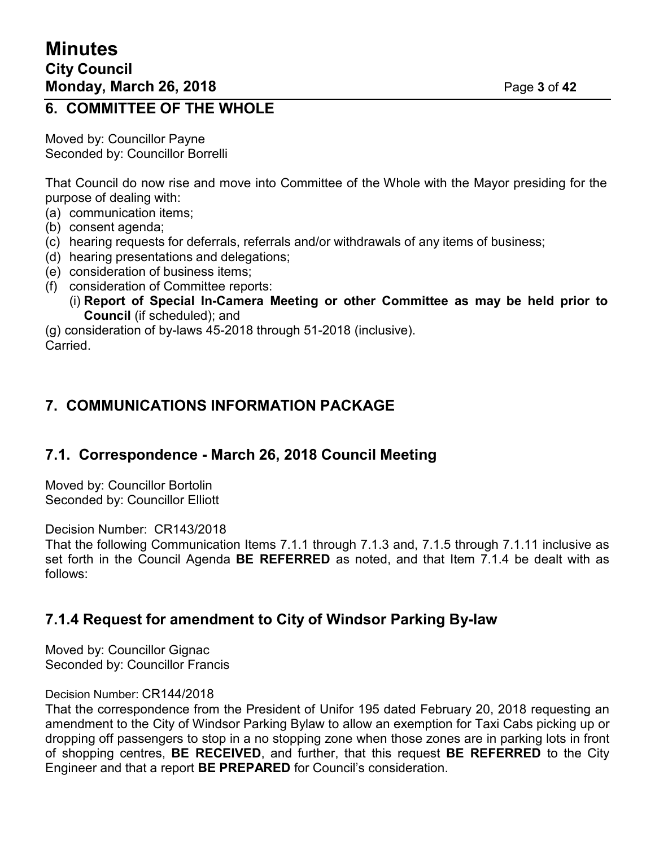### **6. COMMITTEE OF THE WHOLE**

Moved by: Councillor Payne Seconded by: Councillor Borrelli

That Council do now rise and move into Committee of the Whole with the Mayor presiding for the purpose of dealing with:

- (a) communication items;
- (b) consent agenda;
- (c) hearing requests for deferrals, referrals and/or withdrawals of any items of business;
- (d) hearing presentations and delegations;
- (e) consideration of business items;
- (f) consideration of Committee reports:
	- (i) **Report of Special In-Camera Meeting or other Committee as may be held prior to Council** (if scheduled); and

(g) consideration of by-laws 45-2018 through 51-2018 (inclusive). Carried.

### **7. COMMUNICATIONS INFORMATION PACKAGE**

# **7.1. Correspondence - March 26, 2018 Council Meeting**

Moved by: Councillor Bortolin Seconded by: Councillor Elliott

Decision Number: CR143/2018

That the following Communication Items 7.1.1 through 7.1.3 and, 7.1.5 through 7.1.11 inclusive as set forth in the Council Agenda **BE REFERRED** as noted, and that Item 7.1.4 be dealt with as follows:

# **7.1.4 Request for amendment to City of Windsor Parking By-law**

Moved by: Councillor Gignac Seconded by: Councillor Francis

#### Decision Number: CR144/2018

That the correspondence from the President of Unifor 195 dated February 20, 2018 requesting an amendment to the City of Windsor Parking Bylaw to allow an exemption for Taxi Cabs picking up or dropping off passengers to stop in a no stopping zone when those zones are in parking lots in front of shopping centres, **BE RECEIVED**, and further, that this request **BE REFERRED** to the City Engineer and that a report **BE PREPARED** for Council's consideration.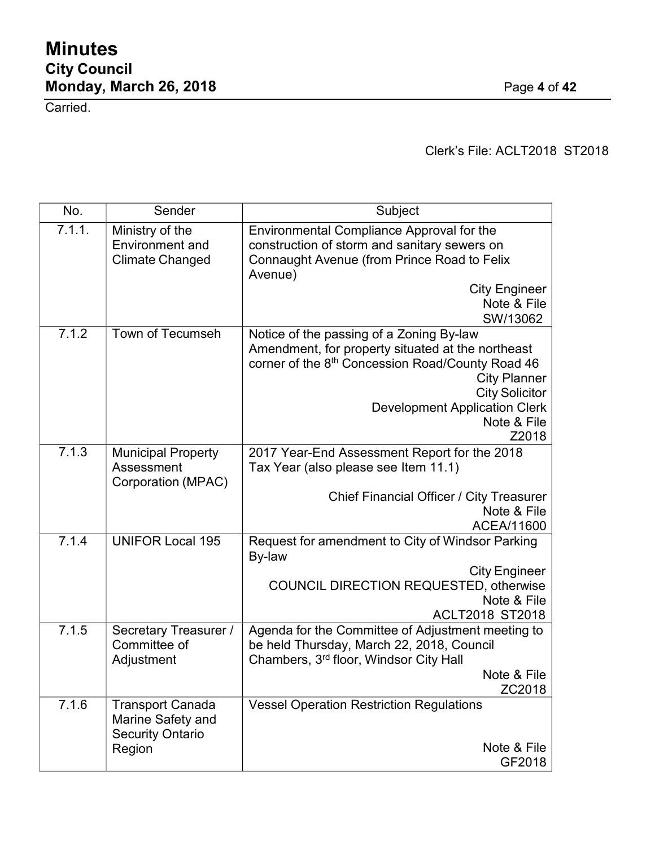Carried.

Clerk's File: ACLT2018 ST2018

| No.    | Sender                                                                            | Subject                                                                                                                                                                                                                                                           |
|--------|-----------------------------------------------------------------------------------|-------------------------------------------------------------------------------------------------------------------------------------------------------------------------------------------------------------------------------------------------------------------|
| 7.1.1. | Ministry of the<br><b>Environment</b> and<br><b>Climate Changed</b>               | Environmental Compliance Approval for the<br>construction of storm and sanitary sewers on<br>Connaught Avenue (from Prince Road to Felix<br>Avenue)                                                                                                               |
|        |                                                                                   | <b>City Engineer</b><br>Note & File<br>SW/13062                                                                                                                                                                                                                   |
| 7.1.2  | Town of Tecumseh                                                                  | Notice of the passing of a Zoning By-law<br>Amendment, for property situated at the northeast<br>corner of the 8th Concession Road/County Road 46<br><b>City Planner</b><br><b>City Solicitor</b><br><b>Development Application Clerk</b><br>Note & File<br>Z2018 |
| 7.1.3  | <b>Municipal Property</b><br>Assessment<br>Corporation (MPAC)                     | 2017 Year-End Assessment Report for the 2018<br>Tax Year (also please see Item 11.1)<br>Chief Financial Officer / City Treasurer<br>Note & File<br>ACEA/11600                                                                                                     |
| 7.1.4  | <b>UNIFOR Local 195</b>                                                           | Request for amendment to City of Windsor Parking<br>By-law<br><b>City Engineer</b><br><b>COUNCIL DIRECTION REQUESTED, otherwise</b><br>Note & File<br><b>ACLT2018 ST2018</b>                                                                                      |
| 7.1.5  | Secretary Treasurer /<br>Committee of<br>Adjustment                               | Agenda for the Committee of Adjustment meeting to<br>be held Thursday, March 22, 2018, Council<br>Chambers, 3rd floor, Windsor City Hall<br>Note & File<br>ZC2018                                                                                                 |
| 7.1.6  | <b>Transport Canada</b><br>Marine Safety and<br><b>Security Ontario</b><br>Region | <b>Vessel Operation Restriction Regulations</b><br>Note & File<br>GF2018                                                                                                                                                                                          |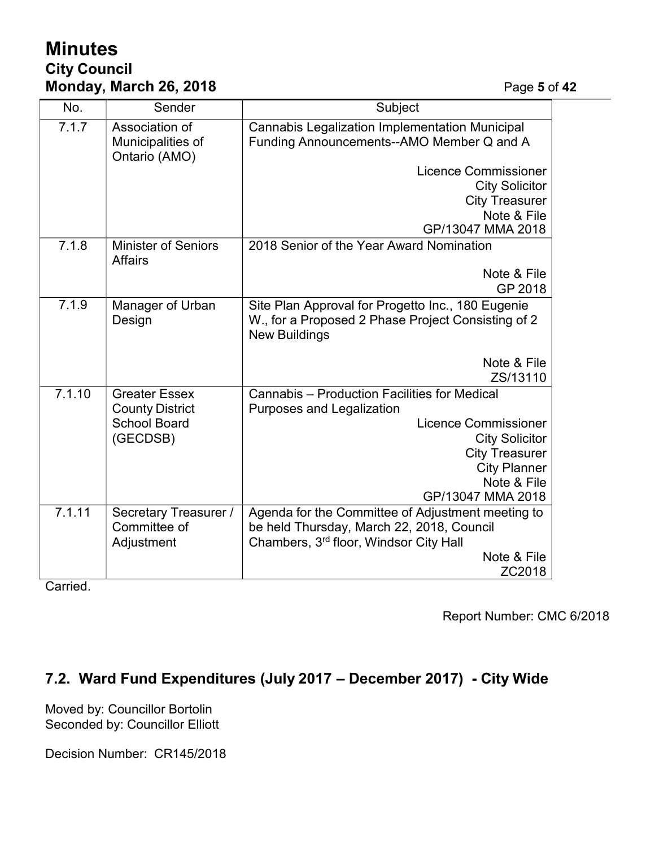# **Minutes City Council Monday, March 26, 2018** Page **5** of **42**

| No.    | Sender                                               | Subject                                                                                                                         |
|--------|------------------------------------------------------|---------------------------------------------------------------------------------------------------------------------------------|
| 7.1.7  | Association of<br>Municipalities of<br>Ontario (AMO) | <b>Cannabis Legalization Implementation Municipal</b><br>Funding Announcements--AMO Member Q and A                              |
|        |                                                      | <b>Licence Commissioner</b>                                                                                                     |
|        |                                                      | <b>City Solicitor</b>                                                                                                           |
|        |                                                      | <b>City Treasurer</b>                                                                                                           |
|        |                                                      | Note & File                                                                                                                     |
|        |                                                      | GP/13047 MMA 2018                                                                                                               |
| 7.1.8  | <b>Minister of Seniors</b><br><b>Affairs</b>         | 2018 Senior of the Year Award Nomination                                                                                        |
|        |                                                      | Note & File                                                                                                                     |
|        |                                                      | GP 2018                                                                                                                         |
| 7.1.9  | Manager of Urban<br>Design                           | Site Plan Approval for Progetto Inc., 180 Eugenie<br>W., for a Proposed 2 Phase Project Consisting of 2<br><b>New Buildings</b> |
|        |                                                      | Note & File                                                                                                                     |
|        |                                                      | ZS/13110                                                                                                                        |
| 7.1.10 | <b>Greater Essex</b>                                 | Cannabis - Production Facilities for Medical                                                                                    |
|        | <b>County District</b>                               | <b>Purposes and Legalization</b>                                                                                                |
|        | <b>School Board</b>                                  | <b>Licence Commissioner</b>                                                                                                     |
|        | (GECDSB)                                             | <b>City Solicitor</b>                                                                                                           |
|        |                                                      | <b>City Treasurer</b><br><b>City Planner</b>                                                                                    |
|        |                                                      | Note & File                                                                                                                     |
|        |                                                      | GP/13047 MMA 2018                                                                                                               |
| 7.1.11 | Secretary Treasurer /                                | Agenda for the Committee of Adjustment meeting to                                                                               |
|        | Committee of                                         | be held Thursday, March 22, 2018, Council                                                                                       |
|        | Adjustment                                           | Chambers, 3rd floor, Windsor City Hall                                                                                          |
|        |                                                      | Note & File                                                                                                                     |
|        |                                                      | ZC2018                                                                                                                          |

Carried.

Report Number: CMC 6/2018

# **7.2. Ward Fund Expenditures (July 2017 – December 2017) - City Wide**

Moved by: Councillor Bortolin Seconded by: Councillor Elliott

Decision Number: CR145/2018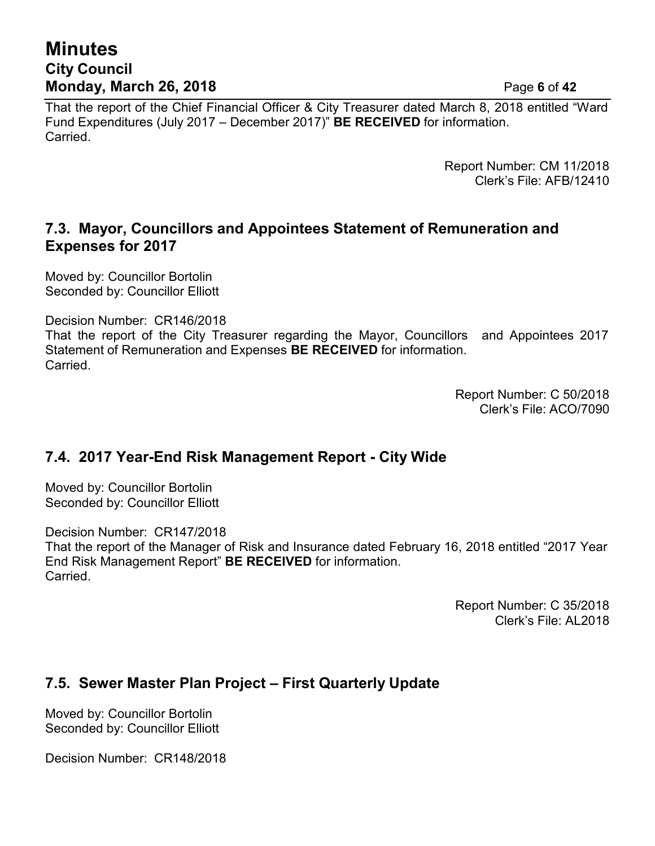# **Minutes City Council Monday, March 26, 2018** Page **6** of **42**

That the report of the Chief Financial Officer & City Treasurer dated March 8, 2018 entitled "Ward Fund Expenditures (July 2017 – December 2017)" **BE RECEIVED** for information. Carried.

> Report Number: CM 11/2018 Clerk's File: AFB/12410

### **7.3. Mayor, Councillors and Appointees Statement of Remuneration and Expenses for 2017**

Moved by: Councillor Bortolin Seconded by: Councillor Elliott

Decision Number: CR146/2018 That the report of the City Treasurer regarding the Mayor, Councillors and Appointees 2017 Statement of Remuneration and Expenses **BE RECEIVED** for information. Carried.

> Report Number: C 50/2018 Clerk's File: ACO/7090

### **7.4. 2017 Year-End Risk Management Report - City Wide**

Moved by: Councillor Bortolin Seconded by: Councillor Elliott

Decision Number: CR147/2018

That the report of the Manager of Risk and Insurance dated February 16, 2018 entitled "2017 Year End Risk Management Report" **BE RECEIVED** for information. Carried.

> Report Number: C 35/2018 Clerk's File: AL2018

# **7.5. Sewer Master Plan Project – First Quarterly Update**

Moved by: Councillor Bortolin Seconded by: Councillor Elliott

Decision Number: CR148/2018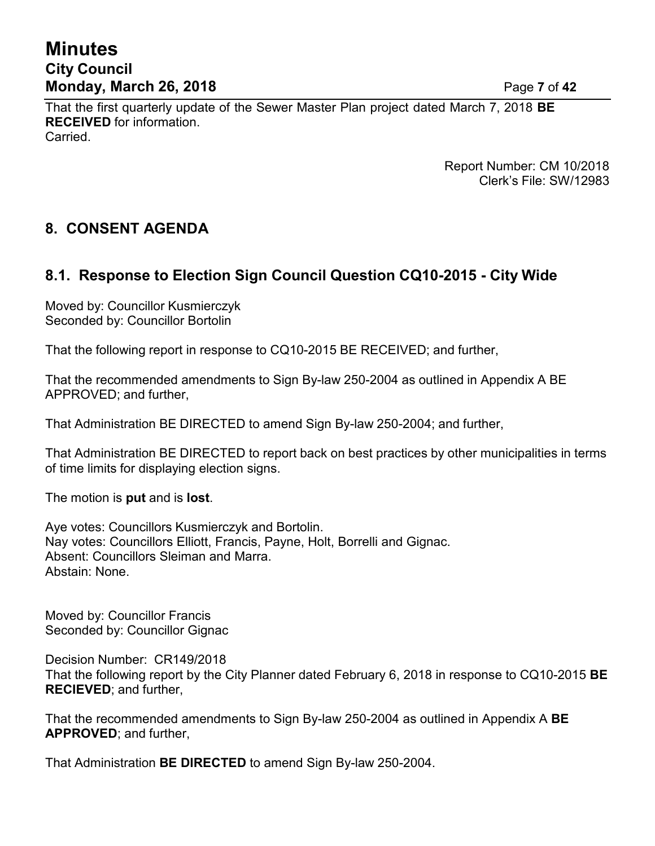# **Minutes City Council Monday, March 26, 2018** Page **7** of **42**

That the first quarterly update of the Sewer Master Plan project dated March 7, 2018 **BE RECEIVED** for information. Carried.

> Report Number: CM 10/2018 Clerk's File: SW/12983

### **8. CONSENT AGENDA**

### **8.1. Response to Election Sign Council Question CQ10-2015 - City Wide**

Moved by: Councillor Kusmierczyk Seconded by: Councillor Bortolin

That the following report in response to CQ10-2015 BE RECEIVED; and further,

That the recommended amendments to Sign By-law 250-2004 as outlined in Appendix A BE APPROVED; and further,

That Administration BE DIRECTED to amend Sign By-law 250-2004; and further,

That Administration BE DIRECTED to report back on best practices by other municipalities in terms of time limits for displaying election signs.

The motion is **put** and is **lost**.

Aye votes: Councillors Kusmierczyk and Bortolin. Nay votes: Councillors Elliott, Francis, Payne, Holt, Borrelli and Gignac. Absent: Councillors Sleiman and Marra. Abstain: None.

Moved by: Councillor Francis Seconded by: Councillor Gignac

Decision Number: CR149/2018 That the following report by the City Planner dated February 6, 2018 in response to CQ10-2015 **BE RECIEVED**; and further,

That the recommended amendments to Sign By-law 250-2004 as outlined in Appendix A **BE APPROVED**; and further,

That Administration **BE DIRECTED** to amend Sign By-law 250-2004.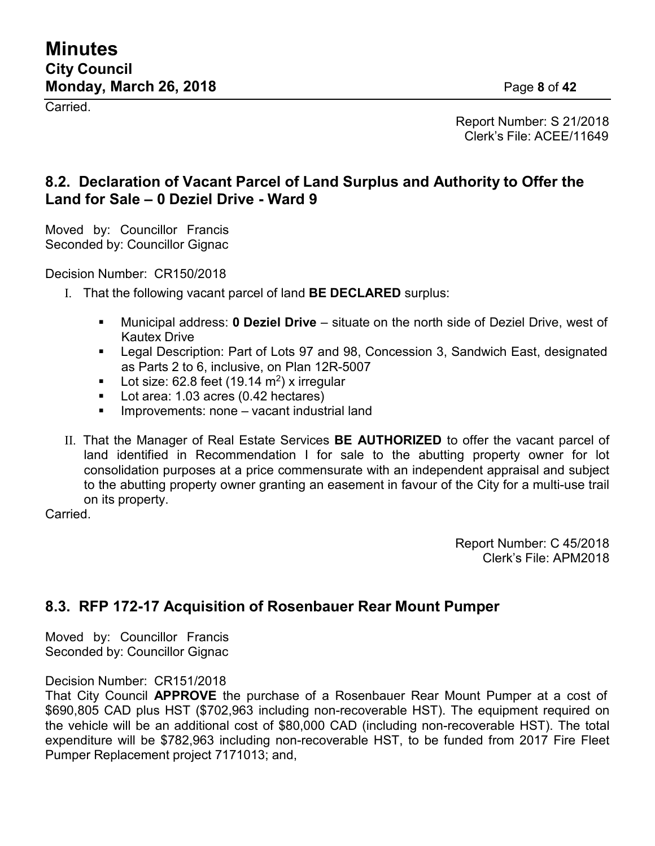Carried.

Report Number: S 21/2018 Clerk's File: ACEE/11649

### **8.2. Declaration of Vacant Parcel of Land Surplus and Authority to Offer the Land for Sale – 0 Deziel Drive - Ward 9**

Moved by: Councillor Francis Seconded by: Councillor Gignac

Decision Number: CR150/2018

- I. That the following vacant parcel of land **BE DECLARED** surplus:
	- Municipal address: **0 Deziel Drive** situate on the north side of Deziel Drive, west of Kautex Drive
	- Legal Description: Part of Lots 97 and 98, Concession 3, Sandwich East, designated as Parts 2 to 6, inclusive, on Plan 12R-5007
	- Lot size: 62.8 feet (19.14 m<sup>2</sup>) x irregular
	- Lot area: 1.03 acres (0.42 hectares)
	- Improvements: none vacant industrial land
- II. That the Manager of Real Estate Services **BE AUTHORIZED** to offer the vacant parcel of land identified in Recommendation I for sale to the abutting property owner for lot consolidation purposes at a price commensurate with an independent appraisal and subject to the abutting property owner granting an easement in favour of the City for a multi-use trail on its property.

**Carried** 

Report Number: C 45/2018 Clerk's File: APM2018

### **8.3. RFP 172-17 Acquisition of Rosenbauer Rear Mount Pumper**

Moved by: Councillor Francis Seconded by: Councillor Gignac

#### Decision Number: CR151/2018

That City Council **APPROVE** the purchase of a Rosenbauer Rear Mount Pumper at a cost of \$690,805 CAD plus HST (\$702,963 including non-recoverable HST). The equipment required on the vehicle will be an additional cost of \$80,000 CAD (including non-recoverable HST). The total expenditure will be \$782,963 including non-recoverable HST, to be funded from 2017 Fire Fleet Pumper Replacement project 7171013; and,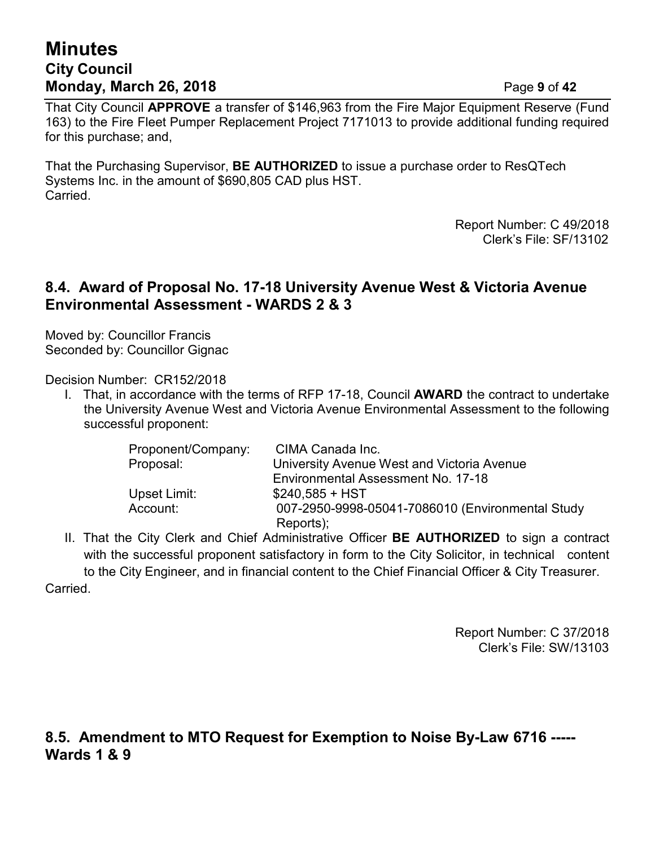# **Minutes City Council Monday, March 26, 2018** Page **9** of **42**

That City Council **APPROVE** a transfer of \$146,963 from the Fire Major Equipment Reserve (Fund 163) to the Fire Fleet Pumper Replacement Project 7171013 to provide additional funding required for this purchase; and,

That the Purchasing Supervisor, **BE AUTHORIZED** to issue a purchase order to ResQTech Systems Inc. in the amount of \$690,805 CAD plus HST. Carried.

> Report Number: C 49/2018 Clerk's File: SF/13102

### **8.4. Award of Proposal No. 17-18 University Avenue West & Victoria Avenue Environmental Assessment - WARDS 2 & 3**

Moved by: Councillor Francis Seconded by: Councillor Gignac

Decision Number: CR152/2018

I. That, in accordance with the terms of RFP 17-18, Council **AWARD** the contract to undertake the University Avenue West and Victoria Avenue Environmental Assessment to the following successful proponent:

| Proponent/Company: | CIMA Canada Inc.                                 |
|--------------------|--------------------------------------------------|
| Proposal:          | University Avenue West and Victoria Avenue       |
|                    | Environmental Assessment No. 17-18               |
| Upset Limit:       | $$240,585 + HST$                                 |
| Account:           | 007-2950-9998-05041-7086010 (Environmental Study |
|                    | Reports);                                        |

II. That the City Clerk and Chief Administrative Officer **BE AUTHORIZED** to sign a contract with the successful proponent satisfactory in form to the City Solicitor, in technical content to the City Engineer, and in financial content to the Chief Financial Officer & City Treasurer. **Carried** 

> Report Number: C 37/2018 Clerk's File: SW/13103

### **8.5. Amendment to MTO Request for Exemption to Noise By-Law 6716 ----- Wards 1 & 9**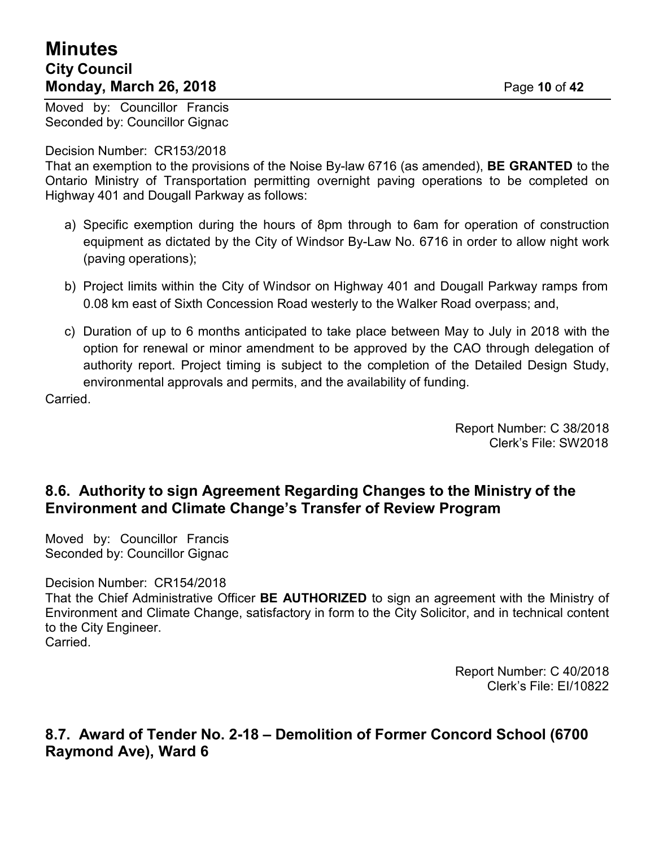# **Minutes City Council Monday, March 26, 2018** Page **10** of **42**

Moved by: Councillor Francis Seconded by: Councillor Gignac

#### Decision Number: CR153/2018

That an exemption to the provisions of the Noise By-law 6716 (as amended), **BE GRANTED** to the Ontario Ministry of Transportation permitting overnight paving operations to be completed on Highway 401 and Dougall Parkway as follows:

- a) Specific exemption during the hours of 8pm through to 6am for operation of construction equipment as dictated by the City of Windsor By-Law No. 6716 in order to allow night work (paving operations);
- b) Project limits within the City of Windsor on Highway 401 and Dougall Parkway ramps from 0.08 km east of Sixth Concession Road westerly to the Walker Road overpass; and,
- c) Duration of up to 6 months anticipated to take place between May to July in 2018 with the option for renewal or minor amendment to be approved by the CAO through delegation of authority report. Project timing is subject to the completion of the Detailed Design Study, environmental approvals and permits, and the availability of funding.

**Carried** 

Report Number: C 38/2018 Clerk's File: SW2018

### **8.6. Authority to sign Agreement Regarding Changes to the Ministry of the Environment and Climate Change's Transfer of Review Program**

Moved by: Councillor Francis Seconded by: Councillor Gignac

Decision Number: CR154/2018

That the Chief Administrative Officer **BE AUTHORIZED** to sign an agreement with the Ministry of Environment and Climate Change, satisfactory in form to the City Solicitor, and in technical content to the City Engineer. Carried.

Report Number: C 40/2018 Clerk's File: EI/10822

**8.7. Award of Tender No. 2-18 – Demolition of Former Concord School (6700 Raymond Ave), Ward 6**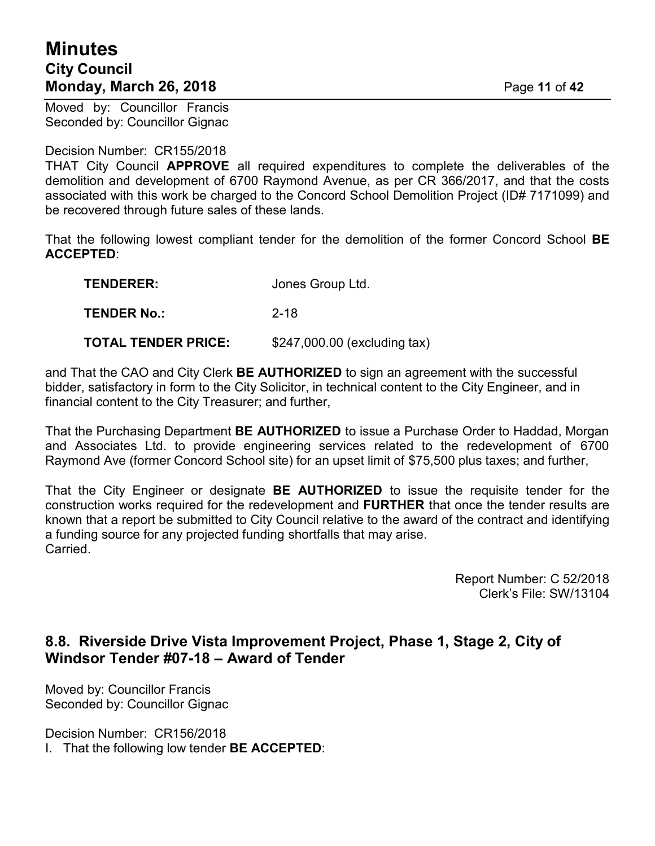# **Minutes City Council Monday, March 26, 2018** Page **11** of **42**

Moved by: Councillor Francis Seconded by: Councillor Gignac

#### Decision Number: CR155/2018

THAT City Council **APPROVE** all required expenditures to complete the deliverables of the demolition and development of 6700 Raymond Avenue, as per CR 366/2017, and that the costs associated with this work be charged to the Concord School Demolition Project (ID# 7171099) and be recovered through future sales of these lands.

That the following lowest compliant tender for the demolition of the former Concord School **BE ACCEPTED**:

| <b>TENDERER:</b>   | Jones Group Ltd. |
|--------------------|------------------|
| <b>TENDER No.:</b> | $2 - 18$         |

**TOTAL TENDER PRICE:** \$247,000.00 (excluding tax)

and That the CAO and City Clerk **BE AUTHORIZED** to sign an agreement with the successful bidder, satisfactory in form to the City Solicitor, in technical content to the City Engineer, and in financial content to the City Treasurer; and further,

That the Purchasing Department **BE AUTHORIZED** to issue a Purchase Order to Haddad, Morgan and Associates Ltd. to provide engineering services related to the redevelopment of 6700 Raymond Ave (former Concord School site) for an upset limit of \$75,500 plus taxes; and further,

That the City Engineer or designate **BE AUTHORIZED** to issue the requisite tender for the construction works required for the redevelopment and **FURTHER** that once the tender results are known that a report be submitted to City Council relative to the award of the contract and identifying a funding source for any projected funding shortfalls that may arise. Carried.

> Report Number: C 52/2018 Clerk's File: SW/13104

# **8.8. Riverside Drive Vista Improvement Project, Phase 1, Stage 2, City of Windsor Tender #07-18 – Award of Tender**

Moved by: Councillor Francis Seconded by: Councillor Gignac

Decision Number: CR156/2018

I. That the following low tender **BE ACCEPTED**: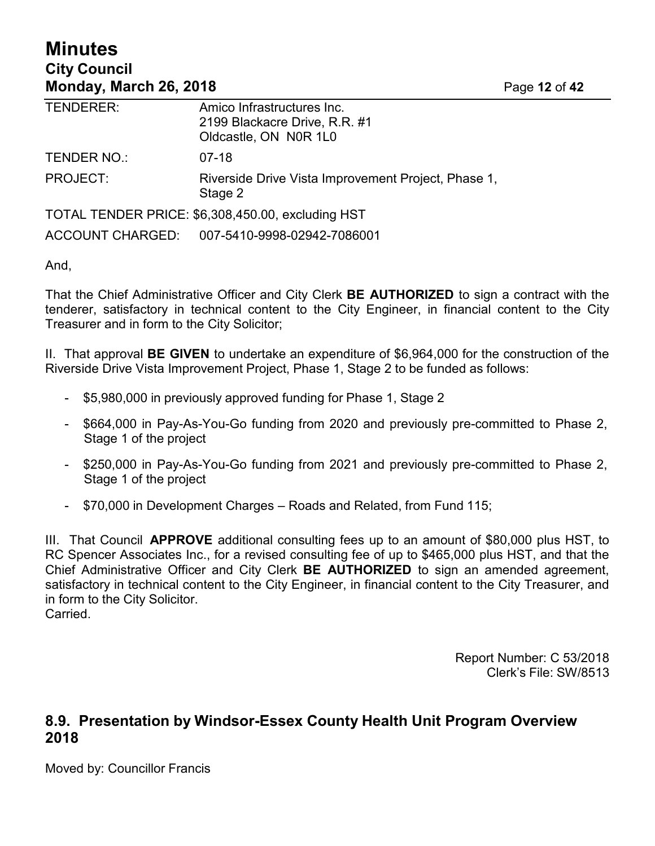# **Minutes City Council Monday, March 26, 2018** Page **12** of **42**

| TENDERER:       | Amico Infrastructures Inc.<br>2199 Blackacre Drive, R.R. #1<br>Oldcastle, ON N0R 1L0 |
|-----------------|--------------------------------------------------------------------------------------|
| TENDER NO.:     | 07-18                                                                                |
| <b>PROJECT:</b> | Riverside Drive Vista Improvement Project, Phase 1,<br>Stage 2                       |
|                 | TOTAL TENDER PRICE: \$6,308,450.00, excluding HST                                    |
|                 | ACCOUNT CHARGED: 007-5410-9998-02942-7086001                                         |

And,

That the Chief Administrative Officer and City Clerk **BE AUTHORIZED** to sign a contract with the tenderer, satisfactory in technical content to the City Engineer, in financial content to the City Treasurer and in form to the City Solicitor;

II. That approval **BE GIVEN** to undertake an expenditure of \$6,964,000 for the construction of the Riverside Drive Vista Improvement Project, Phase 1, Stage 2 to be funded as follows:

- \$5,980,000 in previously approved funding for Phase 1, Stage 2
- \$664,000 in Pay-As-You-Go funding from 2020 and previously pre-committed to Phase 2, Stage 1 of the project
- \$250,000 in Pay-As-You-Go funding from 2021 and previously pre-committed to Phase 2, Stage 1 of the project
- \$70,000 in Development Charges Roads and Related, from Fund 115;

III. That Council **APPROVE** additional consulting fees up to an amount of \$80,000 plus HST, to RC Spencer Associates Inc., for a revised consulting fee of up to \$465,000 plus HST, and that the Chief Administrative Officer and City Clerk **BE AUTHORIZED** to sign an amended agreement, satisfactory in technical content to the City Engineer, in financial content to the City Treasurer, and in form to the City Solicitor. Carried.

> Report Number: C 53/2018 Clerk's File: SW/8513

### **8.9. Presentation by Windsor-Essex County Health Unit Program Overview 2018**

Moved by: Councillor Francis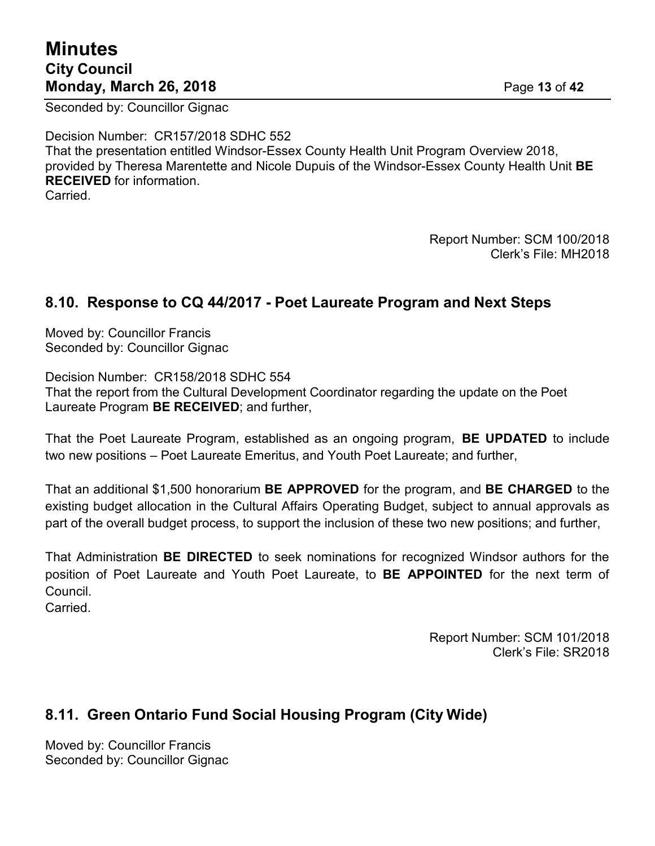# **Minutes City Council Monday, March 26, 2018** Page **13** of **42**

Seconded by: Councillor Gignac

Decision Number: CR157/2018 SDHC 552 That the presentation entitled Windsor-Essex County Health Unit Program Overview 2018, provided by Theresa Marentette and Nicole Dupuis of the Windsor-Essex County Health Unit **BE RECEIVED** for information. **Carried** 

> Report Number: SCM 100/2018 Clerk's File: MH2018

### **8.10. Response to CQ 44/2017 - Poet Laureate Program and Next Steps**

Moved by: Councillor Francis Seconded by: Councillor Gignac

Decision Number: CR158/2018 SDHC 554 That the report from the Cultural Development Coordinator regarding the update on the Poet Laureate Program **BE RECEIVED**; and further,

That the Poet Laureate Program, established as an ongoing program, **BE UPDATED** to include two new positions – Poet Laureate Emeritus, and Youth Poet Laureate; and further,

That an additional \$1,500 honorarium **BE APPROVED** for the program, and **BE CHARGED** to the existing budget allocation in the Cultural Affairs Operating Budget, subject to annual approvals as part of the overall budget process, to support the inclusion of these two new positions; and further,

That Administration **BE DIRECTED** to seek nominations for recognized Windsor authors for the position of Poet Laureate and Youth Poet Laureate, to **BE APPOINTED** for the next term of Council.

**Carried** 

Report Number: SCM 101/2018 Clerk's File: SR2018

### **8.11. Green Ontario Fund Social Housing Program (City Wide)**

Moved by: Councillor Francis Seconded by: Councillor Gignac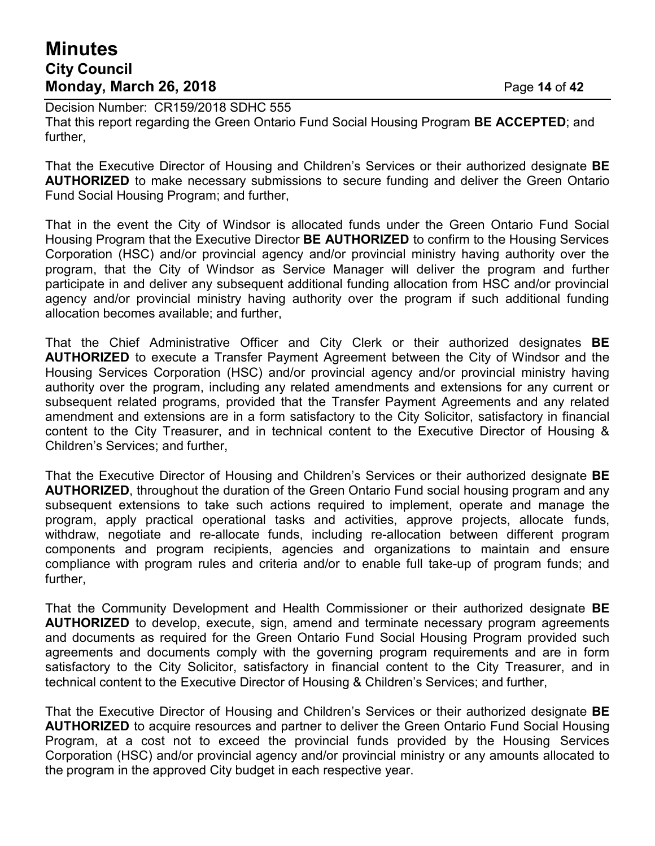# **Minutes City Council Monday, March 26, 2018** Page **14** of **42**

Decision Number: CR159/2018 SDHC 555 That this report regarding the Green Ontario Fund Social Housing Program **BE ACCEPTED**; and further,

That the Executive Director of Housing and Children's Services or their authorized designate **BE AUTHORIZED** to make necessary submissions to secure funding and deliver the Green Ontario Fund Social Housing Program; and further,

That in the event the City of Windsor is allocated funds under the Green Ontario Fund Social Housing Program that the Executive Director **BE AUTHORIZED** to confirm to the Housing Services Corporation (HSC) and/or provincial agency and/or provincial ministry having authority over the program, that the City of Windsor as Service Manager will deliver the program and further participate in and deliver any subsequent additional funding allocation from HSC and/or provincial agency and/or provincial ministry having authority over the program if such additional funding allocation becomes available; and further,

That the Chief Administrative Officer and City Clerk or their authorized designates **BE AUTHORIZED** to execute a Transfer Payment Agreement between the City of Windsor and the Housing Services Corporation (HSC) and/or provincial agency and/or provincial ministry having authority over the program, including any related amendments and extensions for any current or subsequent related programs, provided that the Transfer Payment Agreements and any related amendment and extensions are in a form satisfactory to the City Solicitor, satisfactory in financial content to the City Treasurer, and in technical content to the Executive Director of Housing & Children's Services; and further,

That the Executive Director of Housing and Children's Services or their authorized designate **BE AUTHORIZED**, throughout the duration of the Green Ontario Fund social housing program and any subsequent extensions to take such actions required to implement, operate and manage the program, apply practical operational tasks and activities, approve projects, allocate funds, withdraw, negotiate and re-allocate funds, including re-allocation between different program components and program recipients, agencies and organizations to maintain and ensure compliance with program rules and criteria and/or to enable full take-up of program funds; and further,

That the Community Development and Health Commissioner or their authorized designate **BE AUTHORIZED** to develop, execute, sign, amend and terminate necessary program agreements and documents as required for the Green Ontario Fund Social Housing Program provided such agreements and documents comply with the governing program requirements and are in form satisfactory to the City Solicitor, satisfactory in financial content to the City Treasurer, and in technical content to the Executive Director of Housing & Children's Services; and further,

That the Executive Director of Housing and Children's Services or their authorized designate **BE AUTHORIZED** to acquire resources and partner to deliver the Green Ontario Fund Social Housing Program, at a cost not to exceed the provincial funds provided by the Housing Services Corporation (HSC) and/or provincial agency and/or provincial ministry or any amounts allocated to the program in the approved City budget in each respective year.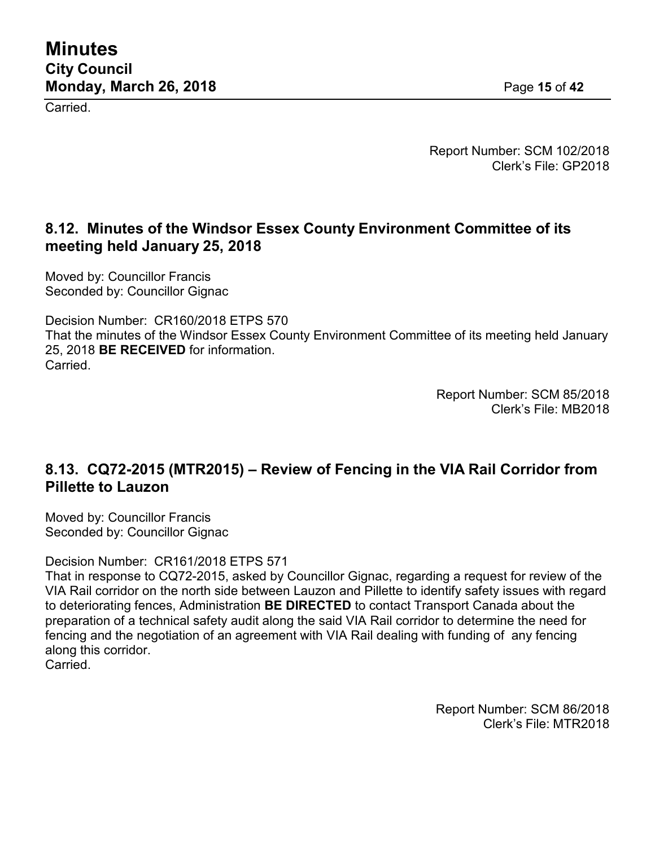Carried.

Report Number: SCM 102/2018 Clerk's File: GP2018

### **8.12. Minutes of the Windsor Essex County Environment Committee of its meeting held January 25, 2018**

Moved by: Councillor Francis Seconded by: Councillor Gignac

Decision Number: CR160/2018 ETPS 570 That the minutes of the Windsor Essex County Environment Committee of its meeting held January 25, 2018 **BE RECEIVED** for information. Carried.

> Report Number: SCM 85/2018 Clerk's File: MB2018

# **8.13. CQ72-2015 (MTR2015) – Review of Fencing in the VIA Rail Corridor from Pillette to Lauzon**

Moved by: Councillor Francis Seconded by: Councillor Gignac

Decision Number: CR161/2018 ETPS 571

That in response to CQ72-2015, asked by Councillor Gignac, regarding a request for review of the VIA Rail corridor on the north side between Lauzon and Pillette to identify safety issues with regard to deteriorating fences, Administration **BE DIRECTED** to contact Transport Canada about the preparation of a technical safety audit along the said VIA Rail corridor to determine the need for fencing and the negotiation of an agreement with VIA Rail dealing with funding of any fencing along this corridor. Carried.

> Report Number: SCM 86/2018 Clerk's File: MTR2018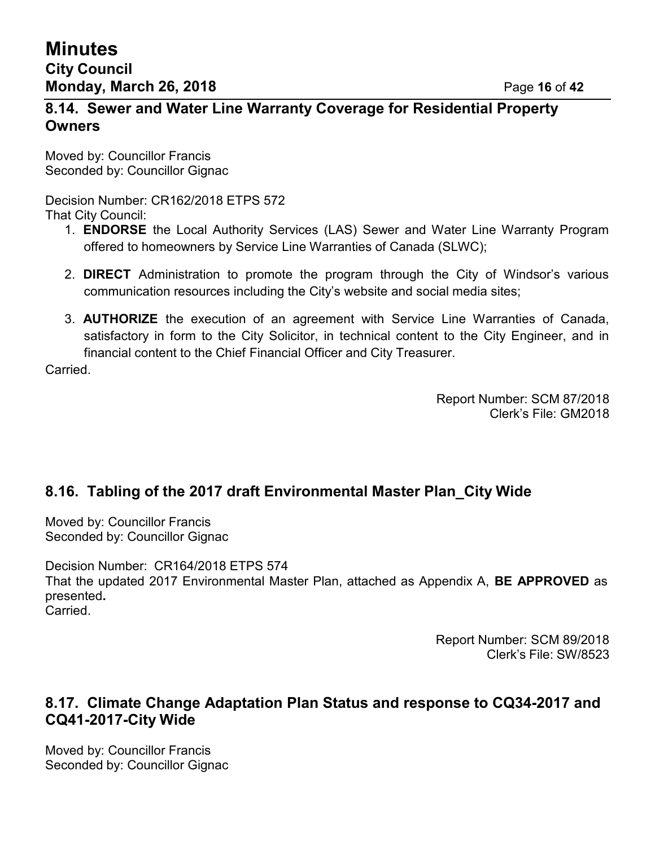### **8.14. Sewer and Water Line Warranty Coverage for Residential Property Owners**

Moved by: Councillor Francis Seconded by: Councillor Gignac

Decision Number: CR162/2018 ETPS 572 That City Council:

- 1. **ENDORSE** the Local Authority Services (LAS) Sewer and Water Line Warranty Program offered to homeowners by Service Line Warranties of Canada (SLWC);
- 2. **DIRECT** Administration to promote the program through the City of Windsor's various communication resources including the City's website and social media sites;
- 3. **AUTHORIZE** the execution of an agreement with Service Line Warranties of Canada, satisfactory in form to the City Solicitor, in technical content to the City Engineer, and in financial content to the Chief Financial Officer and City Treasurer.

Carried.

Report Number: SCM 87/2018 Clerk's File: GM2018

# **8.16. Tabling of the 2017 draft Environmental Master Plan\_City Wide**

Moved by: Councillor Francis Seconded by: Councillor Gignac

Decision Number: CR164/2018 ETPS 574 That the updated 2017 Environmental Master Plan, attached as Appendix A, **BE APPROVED** as presented**.** Carried.

> Report Number: SCM 89/2018 Clerk's File: SW/8523

### **8.17. Climate Change Adaptation Plan Status and response to CQ34-2017 and CQ41-2017-City Wide**

Moved by: Councillor Francis Seconded by: Councillor Gignac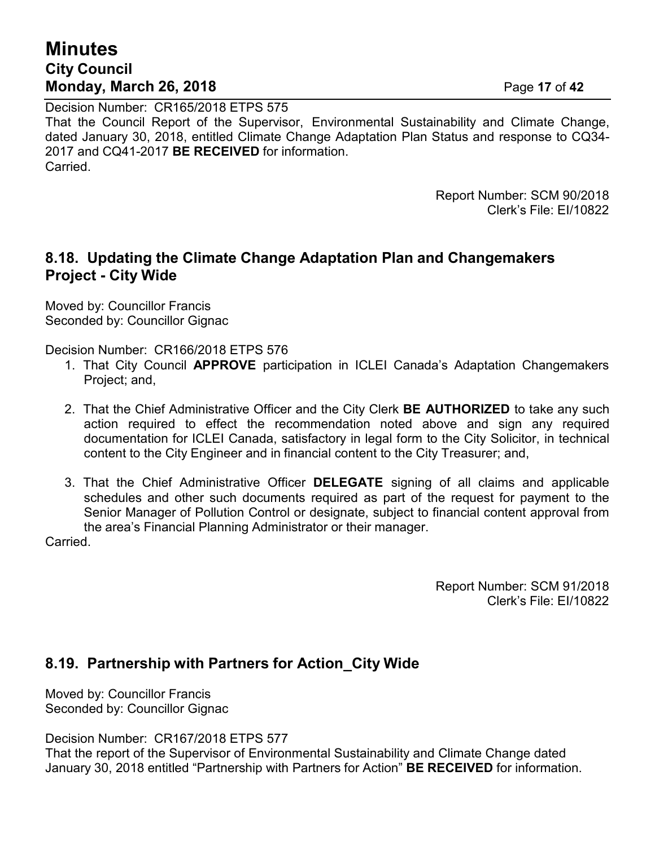# **Minutes City Council Monday, March 26, 2018** Page **17** of **42**

Decision Number: CR165/2018 ETPS 575 That the Council Report of the Supervisor, Environmental Sustainability and Climate Change, dated January 30, 2018, entitled Climate Change Adaptation Plan Status and response to CQ34- 2017 and CQ41-2017 **BE RECEIVED** for information. **Carried** 

> Report Number: SCM 90/2018 Clerk's File: EI/10822

### **8.18. Updating the Climate Change Adaptation Plan and Changemakers Project - City Wide**

Moved by: Councillor Francis Seconded by: Councillor Gignac

Decision Number: CR166/2018 ETPS 576

- 1. That City Council **APPROVE** participation in ICLEI Canada's Adaptation Changemakers Project; and,
- 2. That the Chief Administrative Officer and the City Clerk **BE AUTHORIZED** to take any such action required to effect the recommendation noted above and sign any required documentation for ICLEI Canada, satisfactory in legal form to the City Solicitor, in technical content to the City Engineer and in financial content to the City Treasurer; and,
- 3. That the Chief Administrative Officer **DELEGATE** signing of all claims and applicable schedules and other such documents required as part of the request for payment to the Senior Manager of Pollution Control or designate, subject to financial content approval from the area's Financial Planning Administrator or their manager.

Carried.

Report Number: SCM 91/2018 Clerk's File: EI/10822

### **8.19. Partnership with Partners for Action\_City Wide**

Moved by: Councillor Francis Seconded by: Councillor Gignac

Decision Number: CR167/2018 ETPS 577

That the report of the Supervisor of Environmental Sustainability and Climate Change dated January 30, 2018 entitled "Partnership with Partners for Action" **BE RECEIVED** for information.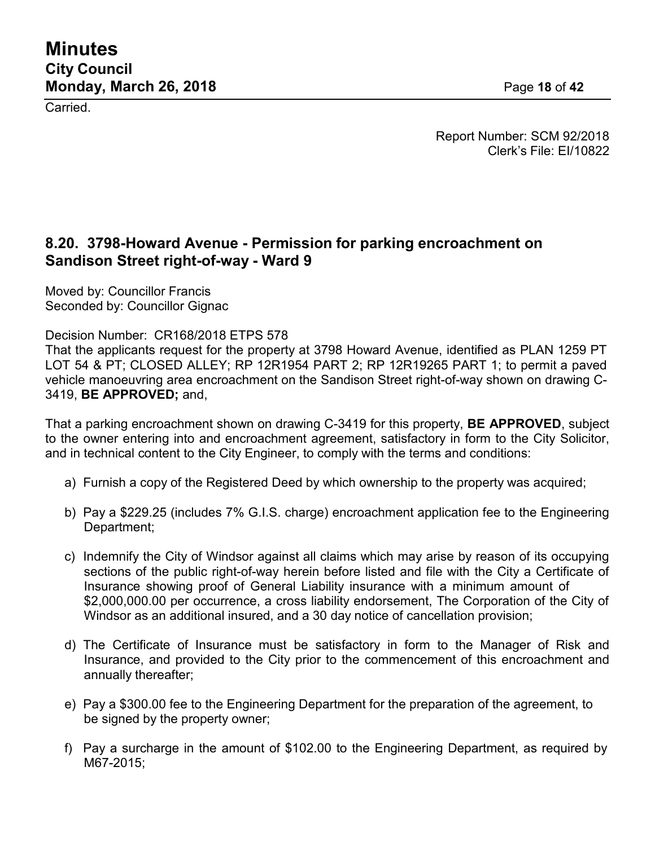Carried.

Report Number: SCM 92/2018 Clerk's File: EI/10822

### **8.20. 3798-Howard Avenue - Permission for parking encroachment on Sandison Street right-of-way - Ward 9**

Moved by: Councillor Francis Seconded by: Councillor Gignac

Decision Number: CR168/2018 ETPS 578

That the applicants request for the property at 3798 Howard Avenue, identified as PLAN 1259 PT LOT 54 & PT; CLOSED ALLEY; RP 12R1954 PART 2; RP 12R19265 PART 1; to permit a paved vehicle manoeuvring area encroachment on the Sandison Street right-of-way shown on drawing C-3419, **BE APPROVED;** and,

That a parking encroachment shown on drawing C-3419 for this property, **BE APPROVED**, subject to the owner entering into and encroachment agreement, satisfactory in form to the City Solicitor, and in technical content to the City Engineer, to comply with the terms and conditions:

- a) Furnish a copy of the Registered Deed by which ownership to the property was acquired;
- b) Pay a \$229.25 (includes 7% G.I.S. charge) encroachment application fee to the Engineering Department;
- c) Indemnify the City of Windsor against all claims which may arise by reason of its occupying sections of the public right-of-way herein before listed and file with the City a Certificate of Insurance showing proof of General Liability insurance with a minimum amount of \$2,000,000.00 per occurrence, a cross liability endorsement, The Corporation of the City of Windsor as an additional insured, and a 30 day notice of cancellation provision;
- d) The Certificate of Insurance must be satisfactory in form to the Manager of Risk and Insurance, and provided to the City prior to the commencement of this encroachment and annually thereafter;
- e) Pay a \$300.00 fee to the Engineering Department for the preparation of the agreement, to be signed by the property owner;
- f) Pay a surcharge in the amount of \$102.00 to the Engineering Department, as required by M67-2015;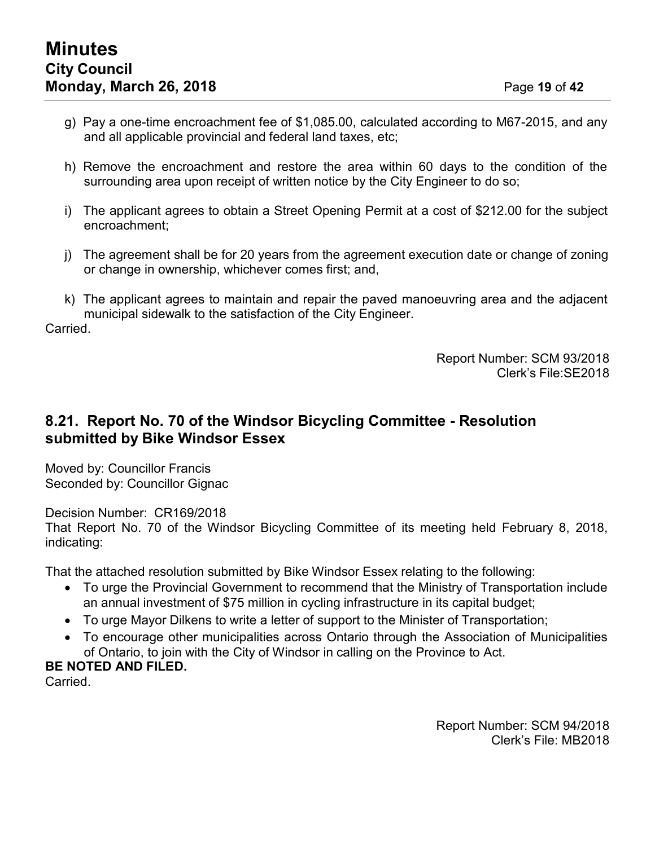- g) Pay a one-time encroachment fee of \$1,085.00, calculated according to M67-2015, and any and all applicable provincial and federal land taxes, etc;
- h) Remove the encroachment and restore the area within 60 days to the condition of the surrounding area upon receipt of written notice by the City Engineer to do so;
- i) The applicant agrees to obtain a Street Opening Permit at a cost of \$212.00 for the subject encroachment;
- j) The agreement shall be for 20 years from the agreement execution date or change of zoning or change in ownership, whichever comes first; and,
- k) The applicant agrees to maintain and repair the paved manoeuvring area and the adjacent municipal sidewalk to the satisfaction of the City Engineer.

Carried.

Report Number: SCM 93/2018 Clerk's File:SE2018

### **8.21. Report No. 70 of the Windsor Bicycling Committee - Resolution submitted by Bike Windsor Essex**

Moved by: Councillor Francis Seconded by: Councillor Gignac

Decision Number: CR169/2018 That Report No. 70 of the Windsor Bicycling Committee of its meeting held February 8, 2018, indicating:

That the attached resolution submitted by Bike Windsor Essex relating to the following:

- To urge the Provincial Government to recommend that the Ministry of Transportation include an annual investment of \$75 million in cycling infrastructure in its capital budget;
- To urge Mayor Dilkens to write a letter of support to the Minister of Transportation;
- To encourage other municipalities across Ontario through the Association of Municipalities of Ontario, to join with the City of Windsor in calling on the Province to Act.

### **BE NOTED AND FILED.**

Carried.

Report Number: SCM 94/2018 Clerk's File: MB2018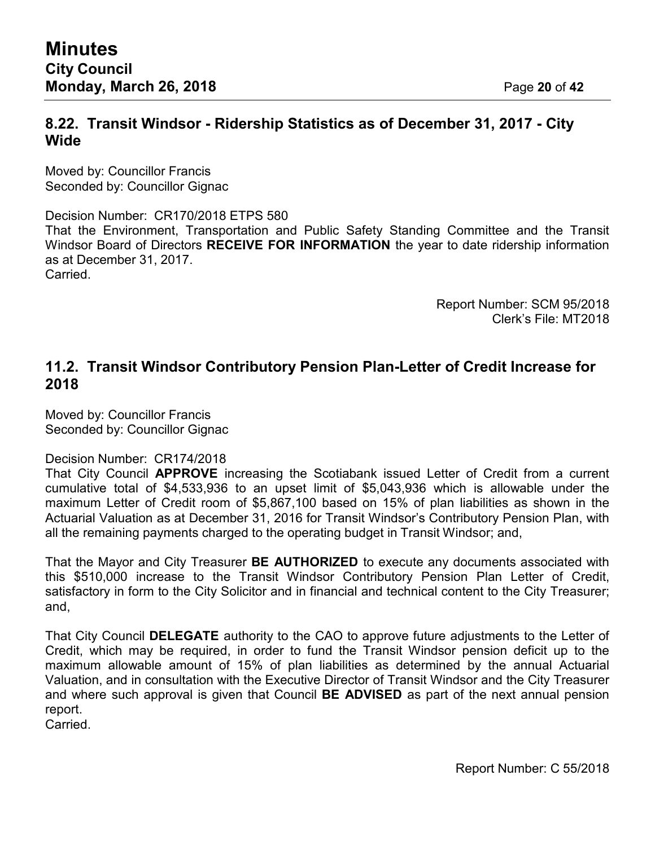Moved by: Councillor Francis Seconded by: Councillor Gignac

Decision Number: CR170/2018 ETPS 580 That the Environment, Transportation and Public Safety Standing Committee and the Transit Windsor Board of Directors **RECEIVE FOR INFORMATION** the year to date ridership information as at December 31, 2017. **Carried** 

> Report Number: SCM 95/2018 Clerk's File: MT2018

### **11.2. Transit Windsor Contributory Pension Plan-Letter of Credit Increase for 2018**

Moved by: Councillor Francis Seconded by: Councillor Gignac

#### Decision Number: CR174/2018

That City Council **APPROVE** increasing the Scotiabank issued Letter of Credit from a current cumulative total of \$4,533,936 to an upset limit of \$5,043,936 which is allowable under the maximum Letter of Credit room of \$5,867,100 based on 15% of plan liabilities as shown in the Actuarial Valuation as at December 31, 2016 for Transit Windsor's Contributory Pension Plan, with all the remaining payments charged to the operating budget in Transit Windsor; and,

That the Mayor and City Treasurer **BE AUTHORIZED** to execute any documents associated with this \$510,000 increase to the Transit Windsor Contributory Pension Plan Letter of Credit, satisfactory in form to the City Solicitor and in financial and technical content to the City Treasurer; and,

That City Council **DELEGATE** authority to the CAO to approve future adjustments to the Letter of Credit, which may be required, in order to fund the Transit Windsor pension deficit up to the maximum allowable amount of 15% of plan liabilities as determined by the annual Actuarial Valuation, and in consultation with the Executive Director of Transit Windsor and the City Treasurer and where such approval is given that Council **BE ADVISED** as part of the next annual pension report.

Carried.

Report Number: C 55/2018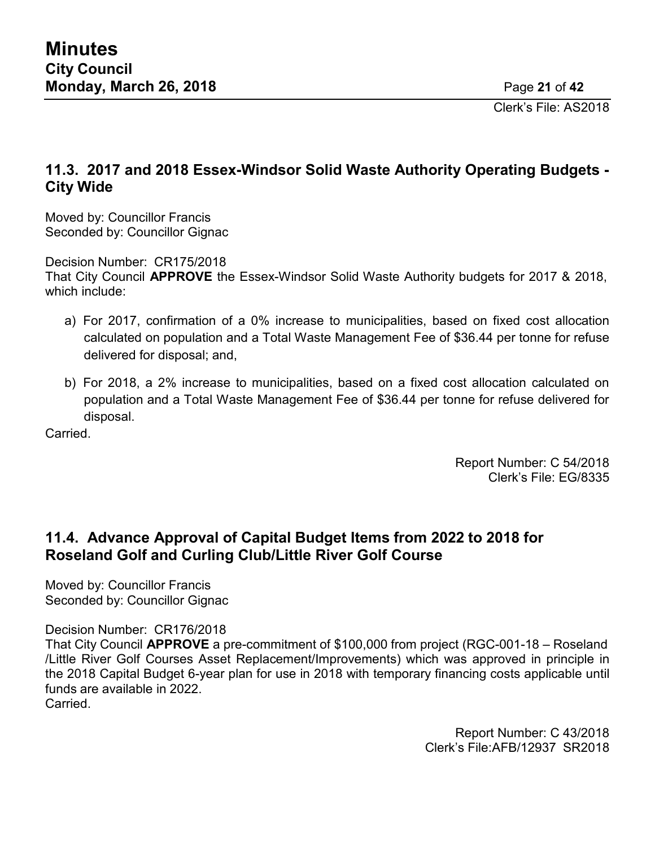Clerk's File: AS2018

# **11.3. 2017 and 2018 Essex-Windsor Solid Waste Authority Operating Budgets - City Wide**

Moved by: Councillor Francis Seconded by: Councillor Gignac

Decision Number: CR175/2018

That City Council **APPROVE** the Essex-Windsor Solid Waste Authority budgets for 2017 & 2018, which include:

- a) For 2017, confirmation of a 0% increase to municipalities, based on fixed cost allocation calculated on population and a Total Waste Management Fee of \$36.44 per tonne for refuse delivered for disposal; and,
- b) For 2018, a 2% increase to municipalities, based on a fixed cost allocation calculated on population and a Total Waste Management Fee of \$36.44 per tonne for refuse delivered for disposal.

**Carried** 

Report Number: C 54/2018 Clerk's File: EG/8335

### **11.4. Advance Approval of Capital Budget Items from 2022 to 2018 for Roseland Golf and Curling Club/Little River Golf Course**

Moved by: Councillor Francis Seconded by: Councillor Gignac

Decision Number: CR176/2018

That City Council **APPROVE** a pre-commitment of \$100,000 from project (RGC-001-18 – Roseland /Little River Golf Courses Asset Replacement/Improvements) which was approved in principle in the 2018 Capital Budget 6-year plan for use in 2018 with temporary financing costs applicable until funds are available in 2022. Carried.

> Report Number: C 43/2018 Clerk's File:AFB/12937 SR2018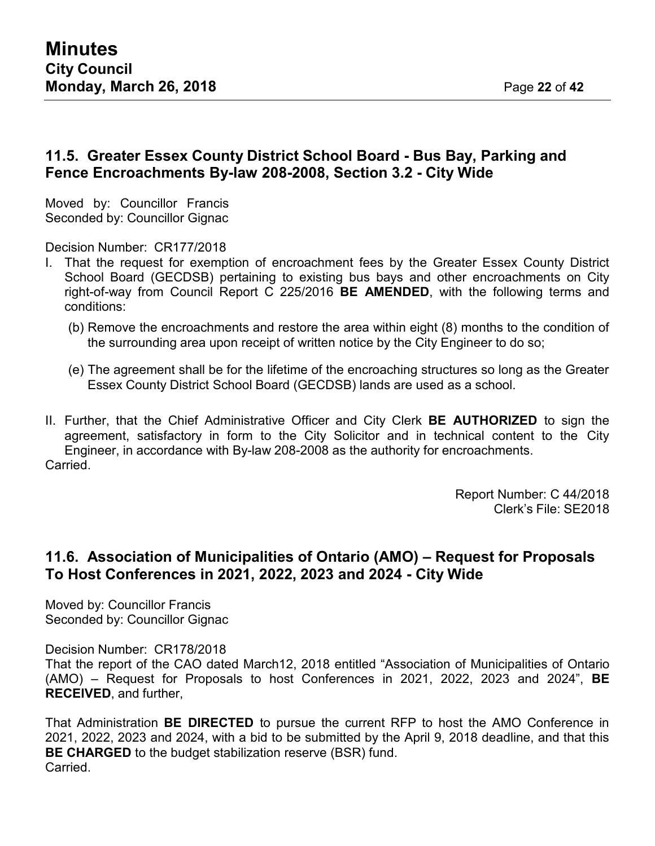### **11.5. Greater Essex County District School Board - Bus Bay, Parking and Fence Encroachments By-law 208-2008, Section 3.2 - City Wide**

Moved by: Councillor Francis Seconded by: Councillor Gignac

Decision Number: CR177/2018

- I. That the request for exemption of encroachment fees by the Greater Essex County District School Board (GECDSB) pertaining to existing bus bays and other encroachments on City right-of-way from Council Report C 225/2016 **BE AMENDED**, with the following terms and conditions:
	- (b) Remove the encroachments and restore the area within eight (8) months to the condition of the surrounding area upon receipt of written notice by the City Engineer to do so;
	- (e) The agreement shall be for the lifetime of the encroaching structures so long as the Greater Essex County District School Board (GECDSB) lands are used as a school.
- II. Further, that the Chief Administrative Officer and City Clerk **BE AUTHORIZED** to sign the agreement, satisfactory in form to the City Solicitor and in technical content to the City Engineer, in accordance with By-law 208-2008 as the authority for encroachments. Carried.

Report Number: C 44/2018 Clerk's File: SE2018

### **11.6. Association of Municipalities of Ontario (AMO) – Request for Proposals To Host Conferences in 2021, 2022, 2023 and 2024 - City Wide**

Moved by: Councillor Francis Seconded by: Councillor Gignac

Decision Number: CR178/2018

That the report of the CAO dated March12, 2018 entitled "Association of Municipalities of Ontario (AMO) – Request for Proposals to host Conferences in 2021, 2022, 2023 and 2024", **BE RECEIVED**, and further,

That Administration **BE DIRECTED** to pursue the current RFP to host the AMO Conference in 2021, 2022, 2023 and 2024, with a bid to be submitted by the April 9, 2018 deadline, and that this **BE CHARGED** to the budget stabilization reserve (BSR) fund. Carried.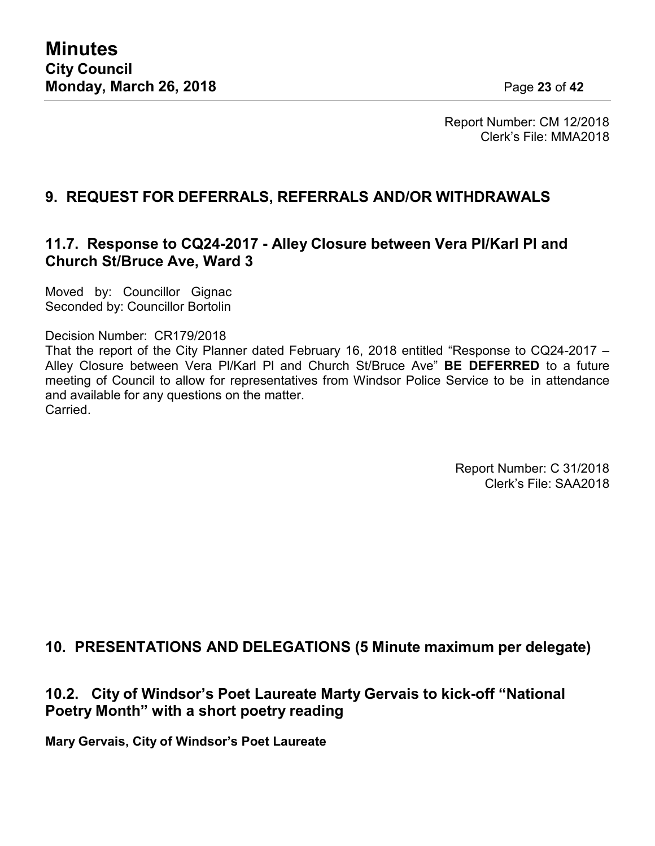Report Number: CM 12/2018 Clerk's File: MMA2018

# **9. REQUEST FOR DEFERRALS, REFERRALS AND/OR WITHDRAWALS**

### **11.7. Response to CQ24-2017 - Alley Closure between Vera Pl/Karl Pl and Church St/Bruce Ave, Ward 3**

Moved by: Councillor Gignac Seconded by: Councillor Bortolin

#### Decision Number: CR179/2018

That the report of the City Planner dated February 16, 2018 entitled "Response to CQ24-2017 – Alley Closure between Vera Pl/Karl Pl and Church St/Bruce Ave" **BE DEFERRED** to a future meeting of Council to allow for representatives from Windsor Police Service to be in attendance and available for any questions on the matter. Carried.

> Report Number: C 31/2018 Clerk's File: SAA2018

### **10. PRESENTATIONS AND DELEGATIONS (5 Minute maximum per delegate)**

### **10.2. City of Windsor's Poet Laureate Marty Gervais to kick-off "National Poetry Month" with a short poetry reading**

**Mary Gervais, City of Windsor's Poet Laureate**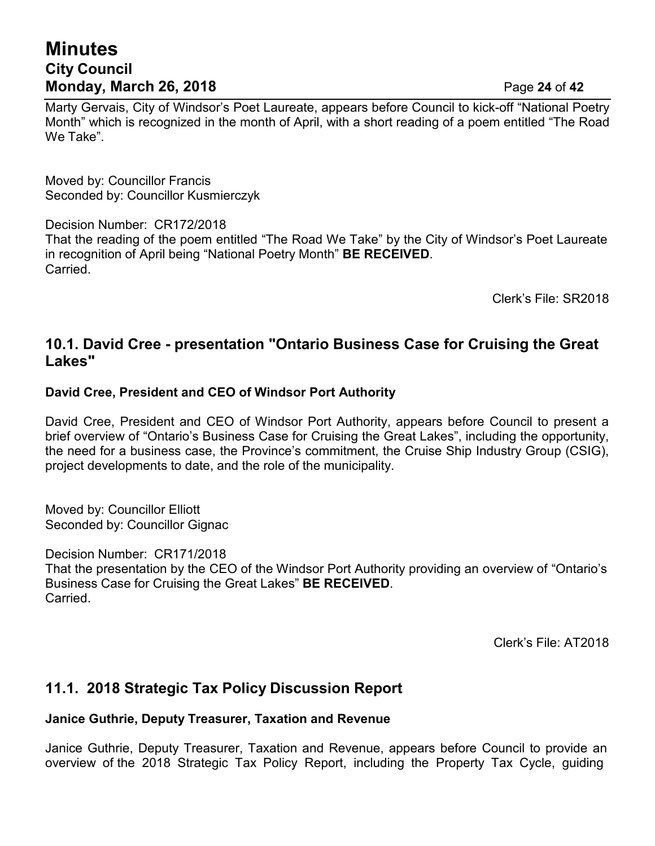# **Minutes City Council Monday, March 26, 2018** Page **24** of **42**

Marty Gervais, City of Windsor's Poet Laureate, appears before Council to kick-off "National Poetry Month" which is recognized in the month of April, with a short reading of a poem entitled "The Road We Take".

Moved by: Councillor Francis Seconded by: Councillor Kusmierczyk

Decision Number: CR172/2018

That the reading of the poem entitled "The Road We Take" by the City of Windsor's Poet Laureate in recognition of April being "National Poetry Month" **BE RECEIVED**. **Carried** 

Clerk's File: SR2018

### **10.1. David Cree - presentation "Ontario Business Case for Cruising the Great Lakes"**

### **David Cree, President and CEO of Windsor Port Authority**

David Cree, President and CEO of Windsor Port Authority, appears before Council to present a brief overview of "Ontario's Business Case for Cruising the Great Lakes", including the opportunity, the need for a business case, the Province's commitment, the Cruise Ship Industry Group (CSIG), project developments to date, and the role of the municipality.

Moved by: Councillor Elliott Seconded by: Councillor Gignac

Decision Number: CR171/2018

That the presentation by the CEO of the Windsor Port Authority providing an overview of "Ontario's Business Case for Cruising the Great Lakes" **BE RECEIVED**. **Carried** 

Clerk's File: AT2018

# **11.1. 2018 Strategic Tax Policy Discussion Report**

#### **Janice Guthrie, Deputy Treasurer, Taxation and Revenue**

Janice Guthrie, Deputy Treasurer, Taxation and Revenue, appears before Council to provide an overview of the 2018 Strategic Tax Policy Report, including the Property Tax Cycle, guiding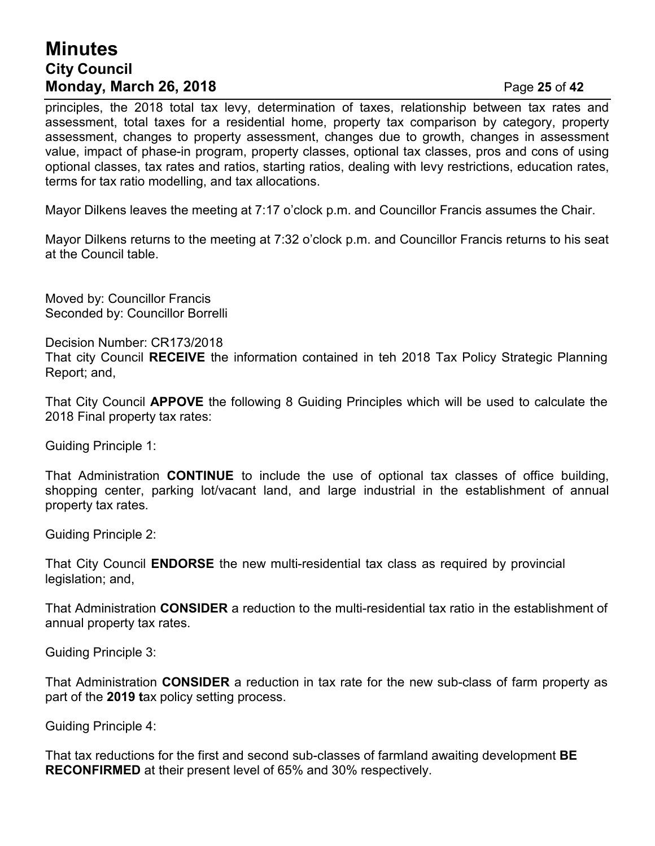# **Minutes City Council Monday, March 26, 2018** Page **25** of **42**

principles, the 2018 total tax levy, determination of taxes, relationship between tax rates and assessment, total taxes for a residential home, property tax comparison by category, property assessment, changes to property assessment, changes due to growth, changes in assessment value, impact of phase-in program, property classes, optional tax classes, pros and cons of using optional classes, tax rates and ratios, starting ratios, dealing with levy restrictions, education rates, terms for tax ratio modelling, and tax allocations.

Mayor Dilkens leaves the meeting at 7:17 o'clock p.m. and Councillor Francis assumes the Chair.

Mayor Dilkens returns to the meeting at 7:32 o'clock p.m. and Councillor Francis returns to his seat at the Council table.

Moved by: Councillor Francis Seconded by: Councillor Borrelli

Decision Number: CR173/2018

That city Council **RECEIVE** the information contained in teh 2018 Tax Policy Strategic Planning Report; and,

That City Council **APPOVE** the following 8 Guiding Principles which will be used to calculate the 2018 Final property tax rates:

Guiding Principle 1:

That Administration **CONTINUE** to include the use of optional tax classes of office building, shopping center, parking lot/vacant land, and large industrial in the establishment of annual property tax rates.

Guiding Principle 2:

That City Council **ENDORSE** the new multi-residential tax class as required by provincial legislation; and,

That Administration **CONSIDER** a reduction to the multi-residential tax ratio in the establishment of annual property tax rates.

Guiding Principle 3:

That Administration **CONSIDER** a reduction in tax rate for the new sub-class of farm property as part of the **2019 t**ax policy setting process.

Guiding Principle 4:

That tax reductions for the first and second sub-classes of farmland awaiting development **BE RECONFIRMED** at their present level of 65% and 30% respectively.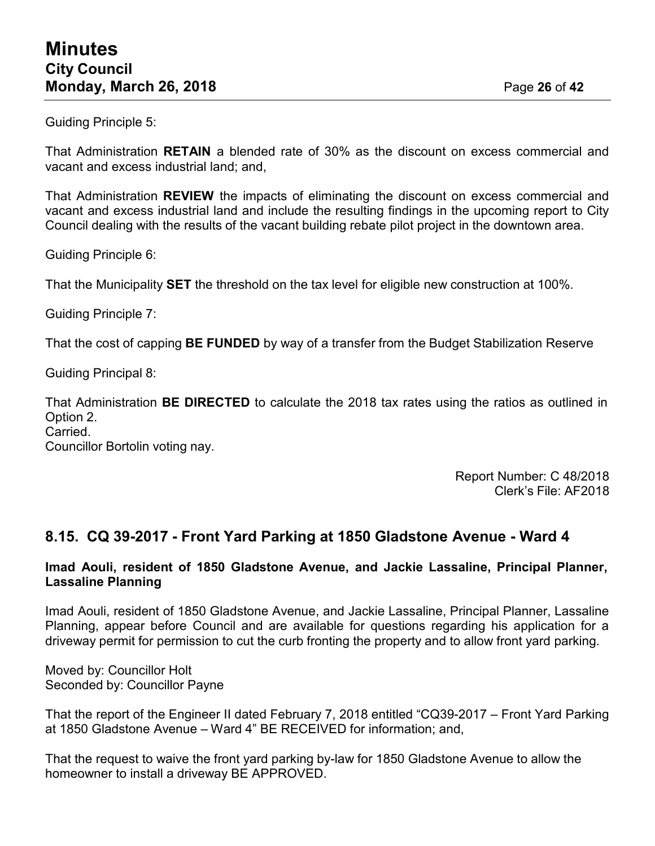Guiding Principle 5:

That Administration **RETAIN** a blended rate of 30% as the discount on excess commercial and vacant and excess industrial land; and

That Administration **REVIEW** the impacts of eliminating the discount on excess commercial and vacant and excess industrial land and include the resulting findings in the upcoming report to City Council dealing with the results of the vacant building rebate pilot project in the downtown area.

Guiding Principle 6:

That the Municipality **SET** the threshold on the tax level for eligible new construction at 100%.

Guiding Principle 7:

That the cost of capping **BE FUNDED** by way of a transfer from the Budget Stabilization Reserve

Guiding Principal 8:

That Administration **BE DIRECTED** to calculate the 2018 tax rates using the ratios as outlined in Option 2.

Carried.

Councillor Bortolin voting nay.

Report Number: C 48/2018 Clerk's File: AF2018

### **8.15. CQ 39-2017 - Front Yard Parking at 1850 Gladstone Avenue - Ward 4**

#### **Imad Aouli, resident of 1850 Gladstone Avenue, and Jackie Lassaline, Principal Planner, Lassaline Planning**

Imad Aouli, resident of 1850 Gladstone Avenue, and Jackie Lassaline, Principal Planner, Lassaline Planning, appear before Council and are available for questions regarding his application for a driveway permit for permission to cut the curb fronting the property and to allow front yard parking.

Moved by: Councillor Holt Seconded by: Councillor Payne

That the report of the Engineer II dated February 7, 2018 entitled "CQ39-2017 – Front Yard Parking at 1850 Gladstone Avenue – Ward 4" BE RECEIVED for information; and,

That the request to waive the front yard parking by-law for 1850 Gladstone Avenue to allow the homeowner to install a driveway BE APPROVED.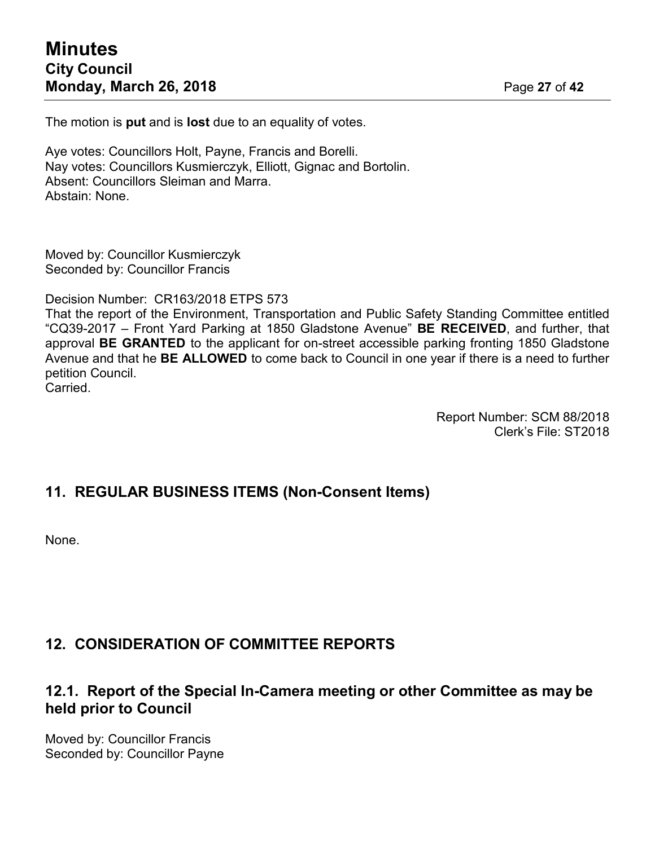The motion is **put** and is **lost** due to an equality of votes.

Aye votes: Councillors Holt, Payne, Francis and Borelli. Nay votes: Councillors Kusmierczyk, Elliott, Gignac and Bortolin. Absent: Councillors Sleiman and Marra. Abstain: None.

Moved by: Councillor Kusmierczyk Seconded by: Councillor Francis

Decision Number: CR163/2018 ETPS 573

That the report of the Environment, Transportation and Public Safety Standing Committee entitled "CQ39-2017 – Front Yard Parking at 1850 Gladstone Avenue" **BE RECEIVED**, and further, that approval **BE GRANTED** to the applicant for on-street accessible parking fronting 1850 Gladstone Avenue and that he **BE ALLOWED** to come back to Council in one year if there is a need to further petition Council. Carried.

Report Number: SCM 88/2018 Clerk's File: ST2018

### **11. REGULAR BUSINESS ITEMS (Non-Consent Items)**

None.

### **12. CONSIDERATION OF COMMITTEE REPORTS**

### **12.1. Report of the Special In-Camera meeting or other Committee as may be held prior to Council**

Moved by: Councillor Francis Seconded by: Councillor Payne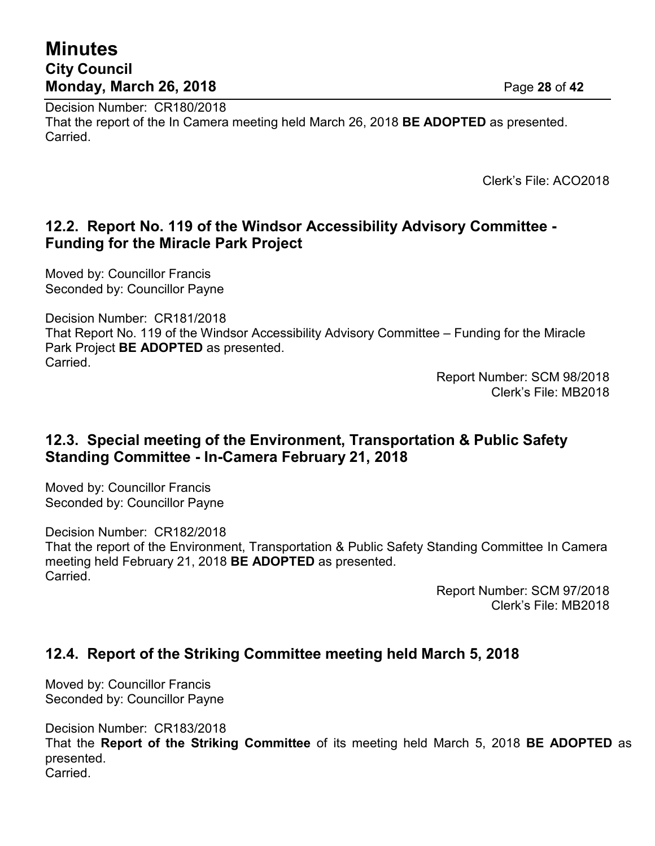# **Minutes City Council Monday, March 26, 2018** Page **28** of **42**

Decision Number: CR180/2018 That the report of the In Camera meeting held March 26, 2018 **BE ADOPTED** as presented. Carried.

Clerk's File: ACO2018

### **12.2. Report No. 119 of the Windsor Accessibility Advisory Committee - Funding for the Miracle Park Project**

Moved by: Councillor Francis Seconded by: Councillor Payne

Decision Number: CR181/2018 That Report No. 119 of the Windsor Accessibility Advisory Committee – Funding for the Miracle Park Project **BE ADOPTED** as presented. Carried.

Report Number: SCM 98/2018 Clerk's File: MB2018

### **12.3. Special meeting of the Environment, Transportation & Public Safety Standing Committee - In-Camera February 21, 2018**

Moved by: Councillor Francis Seconded by: Councillor Payne

Decision Number: CR182/2018 That the report of the Environment, Transportation & Public Safety Standing Committee In Camera meeting held February 21, 2018 **BE ADOPTED** as presented. Carried.

> Report Number: SCM 97/2018 Clerk's File: MB2018

# **12.4. Report of the Striking Committee meeting held March 5, 2018**

Moved by: Councillor Francis Seconded by: Councillor Payne

Decision Number: CR183/2018 That the **Report of the Striking Committee** of its meeting held March 5, 2018 **BE ADOPTED** as presented. Carried.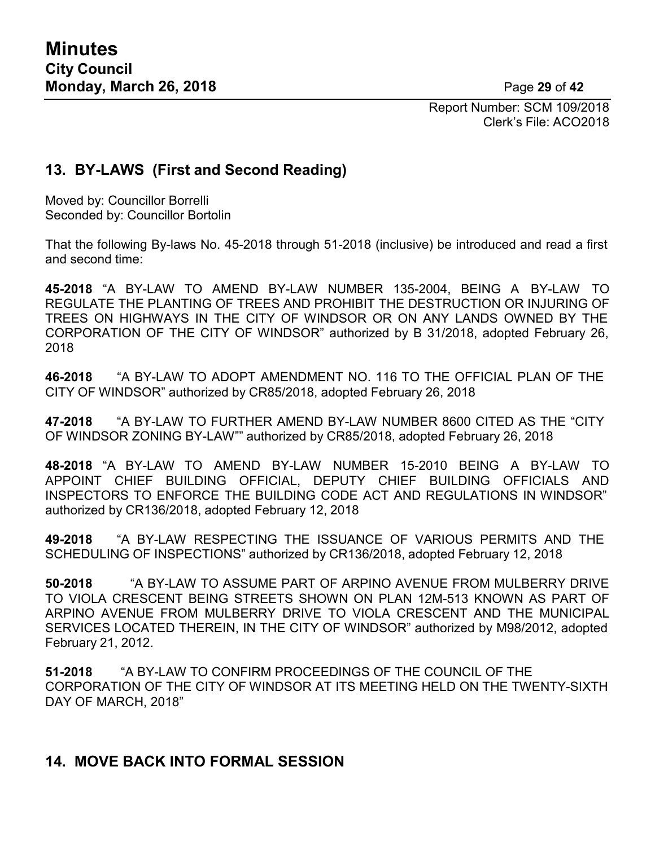Report Number: SCM 109/2018 Clerk's File: ACO2018

### **13. BY-LAWS (First and Second Reading)**

Moved by: Councillor Borrelli Seconded by: Councillor Bortolin

That the following By-laws No. 45-2018 through 51-2018 (inclusive) be introduced and read a first and second time:

**45-2018** "A BY-LAW TO AMEND BY-LAW NUMBER 135-2004, BEING A BY-LAW TO REGULATE THE PLANTING OF TREES AND PROHIBIT THE DESTRUCTION OR INJURING OF TREES ON HIGHWAYS IN THE CITY OF WINDSOR OR ON ANY LANDS OWNED BY THE CORPORATION OF THE CITY OF WINDSOR" authorized by B 31/2018, adopted February 26, 2018

**46-2018** "A BY-LAW TO ADOPT AMENDMENT NO. 116 TO THE OFFICIAL PLAN OF THE CITY OF WINDSOR" authorized by CR85/2018, adopted February 26, 2018

**47-2018** "A BY-LAW TO FURTHER AMEND BY-LAW NUMBER 8600 CITED AS THE "CITY OF WINDSOR ZONING BY-LAW"" authorized by CR85/2018, adopted February 26, 2018

**48-2018** "A BY-LAW TO AMEND BY-LAW NUMBER 15-2010 BEING A BY-LAW TO APPOINT CHIEF BUILDING OFFICIAL, DEPUTY CHIEF BUILDING OFFICIALS AND INSPECTORS TO ENFORCE THE BUILDING CODE ACT AND REGULATIONS IN WINDSOR" authorized by CR136/2018, adopted February 12, 2018

**49-2018** "A BY-LAW RESPECTING THE ISSUANCE OF VARIOUS PERMITS AND THE SCHEDULING OF INSPECTIONS" authorized by CR136/2018, adopted February 12, 2018

**50-2018** "A BY-LAW TO ASSUME PART OF ARPINO AVENUE FROM MULBERRY DRIVE TO VIOLA CRESCENT BEING STREETS SHOWN ON PLAN 12M-513 KNOWN AS PART OF ARPINO AVENUE FROM MULBERRY DRIVE TO VIOLA CRESCENT AND THE MUNICIPAL SERVICES LOCATED THEREIN, IN THE CITY OF WINDSOR" authorized by M98/2012, adopted February 21, 2012.

**51-2018** "A BY-LAW TO CONFIRM PROCEEDINGS OF THE COUNCIL OF THE CORPORATION OF THE CITY OF WINDSOR AT ITS MEETING HELD ON THE TWENTY-SIXTH DAY OF MARCH, 2018"

### **14. MOVE BACK INTO FORMAL SESSION**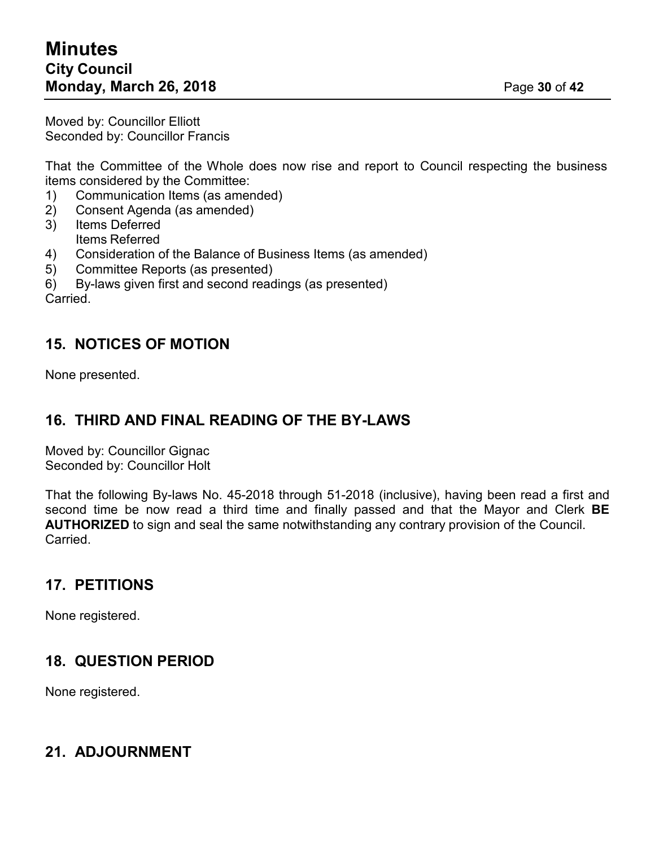Moved by: Councillor Elliott Seconded by: Councillor Francis

That the Committee of the Whole does now rise and report to Council respecting the business items considered by the Committee:

- 1) Communication Items (as amended)
- 2) Consent Agenda (as amended)
- 3) Items Deferred Items Referred
- 4) Consideration of the Balance of Business Items (as amended)
- 5) Committee Reports (as presented)
- 6) By-laws given first and second readings (as presented)

Carried.

### **15. NOTICES OF MOTION**

None presented.

### **16. THIRD AND FINAL READING OF THE BY-LAWS**

Moved by: Councillor Gignac Seconded by: Councillor Holt

That the following By-laws No. 45-2018 through 51-2018 (inclusive), having been read a first and second time be now read a third time and finally passed and that the Mayor and Clerk **BE AUTHORIZED** to sign and seal the same notwithstanding any contrary provision of the Council. Carried.

# **17. PETITIONS**

None registered.

# **18. QUESTION PERIOD**

None registered.

### **21. ADJOURNMENT**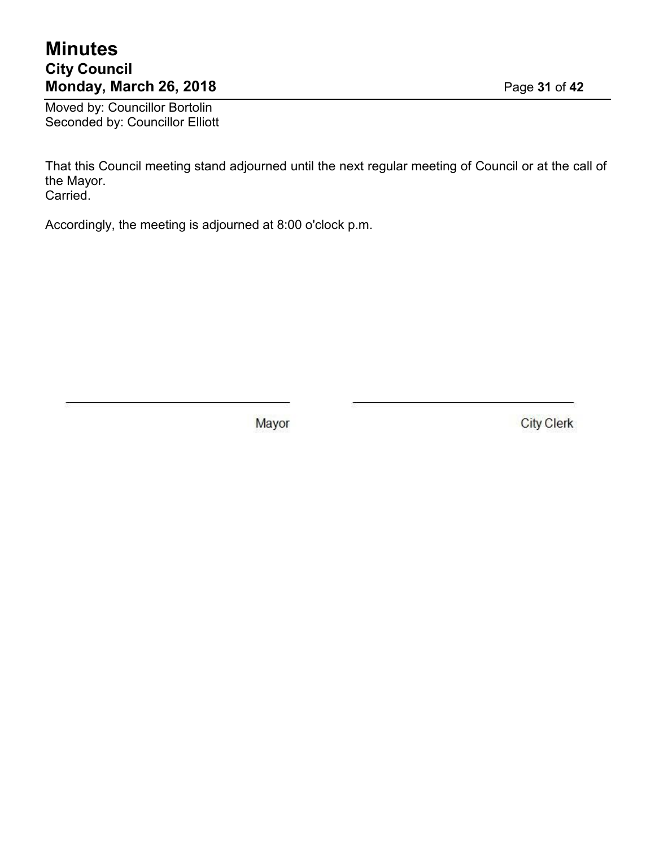# **Minutes City Council Monday, March 26, 2018** Page **31** of **42**

Moved by: Councillor Bortolin Seconded by: Councillor Elliott

That this Council meeting stand adjourned until the next regular meeting of Council or at the call of the Mayor. Carried.

Accordingly, the meeting is adjourned at 8:00 o'clock p.m.

Mayor

**City Clerk**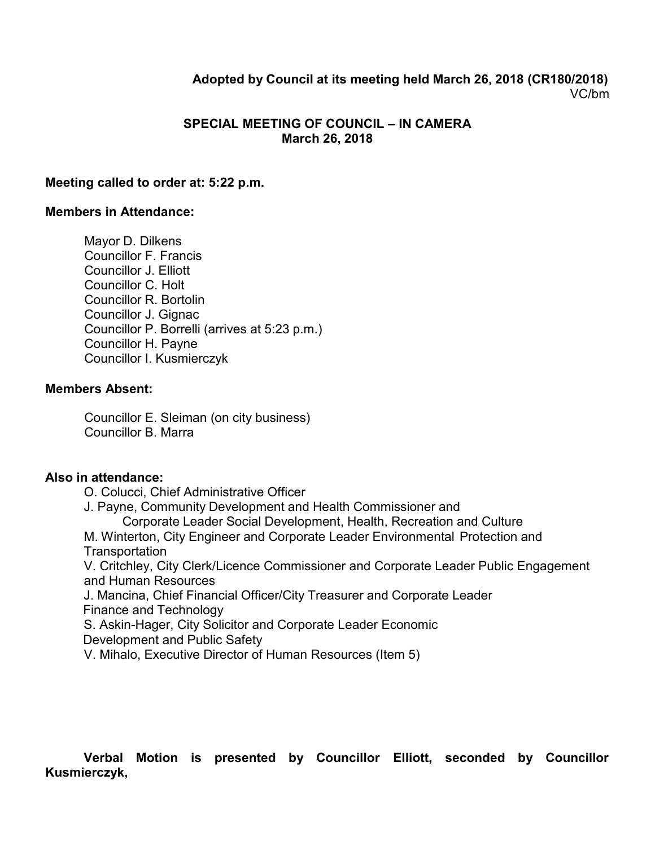### **Adopted by Council at its meeting held March 26, 2018 (CR180/2018)** VC/bm

#### **SPECIAL MEETING OF COUNCIL – IN CAMERA March 26, 2018**

#### **Meeting called to order at: 5:22 p.m.**

#### **Members in Attendance:**

Mayor D. Dilkens Councillor F. Francis Councillor J. Elliott Councillor C. Holt Councillor R. Bortolin Councillor J. Gignac Councillor P. Borrelli (arrives at 5:23 p.m.) Councillor H. Payne Councillor I. Kusmierczyk

#### **Members Absent:**

Councillor E. Sleiman (on city business) Councillor B. Marra

#### **Also in attendance:**

O. Colucci, Chief Administrative Officer

J. Payne, Community Development and Health Commissioner and

Corporate Leader Social Development, Health, Recreation and Culture

M. Winterton, City Engineer and Corporate Leader Environmental Protection and **Transportation** 

V. Critchley, City Clerk/Licence Commissioner and Corporate Leader Public Engagement and Human Resources

J. Mancina, Chief Financial Officer/City Treasurer and Corporate Leader Finance and Technology

S. Askin-Hager, City Solicitor and Corporate Leader Economic

Development and Public Safety

V. Mihalo, Executive Director of Human Resources (Item 5)

### **Verbal Motion is presented by Councillor Elliott, seconded by Councillor Kusmierczyk,**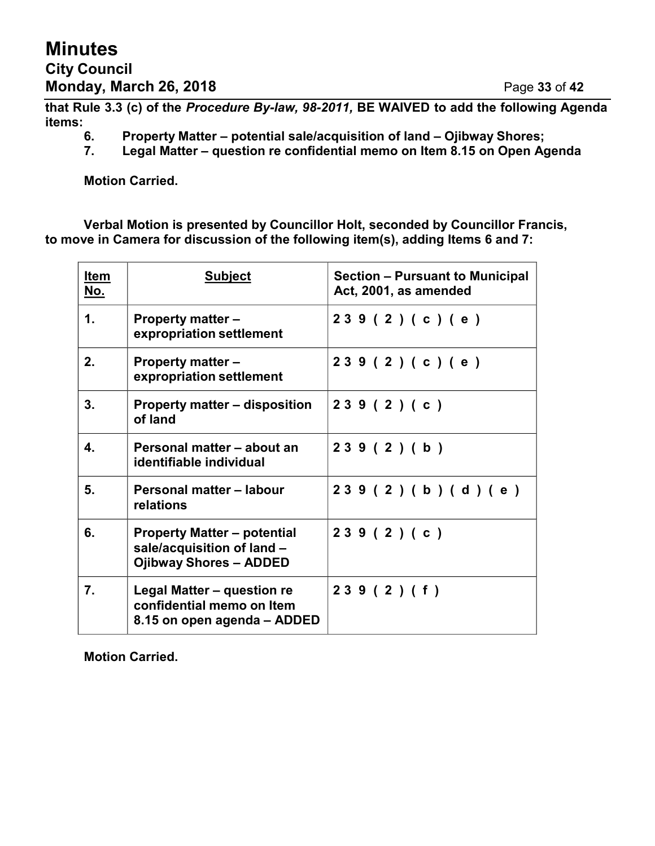**that Rule 3.3 (c) of the** *Procedure By-law, 98-2011,* **BE WAIVED to add the following Agenda items:**

- **6. Property Matter – potential sale/acquisition of land – Ojibway Shores;**
- **7. Legal Matter – question re confidential memo on Item 8.15 on Open Agenda**

**Motion Carried.**

**Verbal Motion is presented by Councillor Holt, seconded by Councillor Francis, to move in Camera for discussion of the following item(s), adding Items 6 and 7:**

| Item<br><u>No.</u> | <b>Subject</b>                                                                                    | Section – Pursuant to Municipal<br>Act, 2001, as amended |
|--------------------|---------------------------------------------------------------------------------------------------|----------------------------------------------------------|
| 1.                 | <b>Property matter –</b><br>expropriation settlement                                              | 239(2)(c)(e)                                             |
| 2.                 | <b>Property matter -</b><br>expropriation settlement                                              | 239(2)(c)(e)                                             |
| 3.                 | <b>Property matter – disposition</b><br>of land                                                   | 239(2)(c)                                                |
| 4.                 | Personal matter - about an<br>identifiable individual                                             | 239(2)(b)                                                |
| 5.                 | Personal matter – labour<br>relations                                                             | 239(2)(b)(d)(e)                                          |
| 6.                 | <b>Property Matter – potential</b><br>sale/acquisition of land -<br><b>Ojibway Shores - ADDED</b> | 239(2)(c)                                                |
| 7.                 | Legal Matter - question re<br>confidential memo on Item<br>8.15 on open agenda – ADDED            | 239(2)(f)                                                |

**Motion Carried.**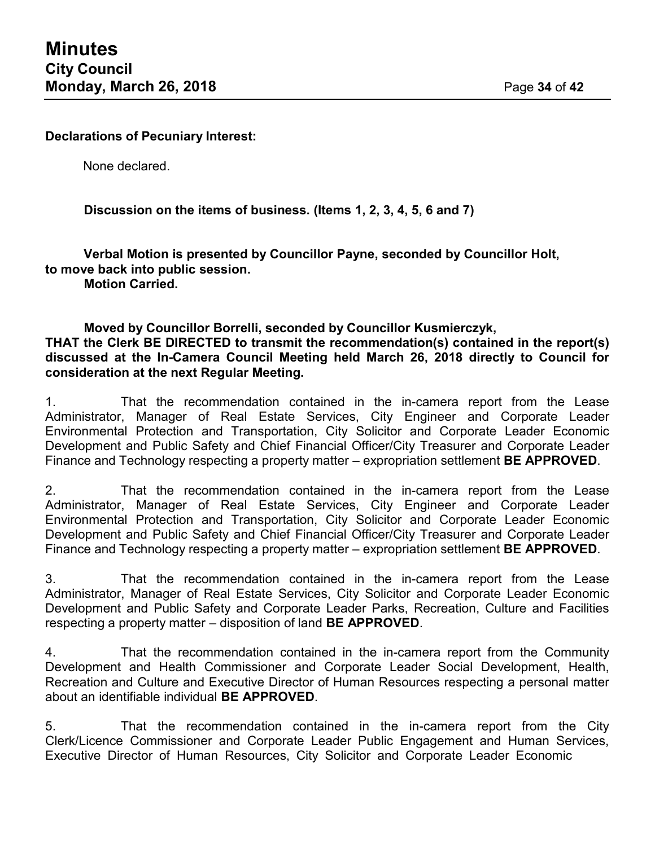#### **Declarations of Pecuniary Interest:**

None declared.

### **Discussion on the items of business. (Items 1, 2, 3, 4, 5, 6 and 7)**

**Verbal Motion is presented by Councillor Payne, seconded by Councillor Holt, to move back into public session.**

**Motion Carried.**

#### **Moved by Councillor Borrelli, seconded by Councillor Kusmierczyk, THAT the Clerk BE DIRECTED to transmit the recommendation(s) contained in the report(s) discussed at the In-Camera Council Meeting held March 26, 2018 directly to Council for consideration at the next Regular Meeting.**

1. That the recommendation contained in the in-camera report from the Lease Administrator, Manager of Real Estate Services, City Engineer and Corporate Leader Environmental Protection and Transportation, City Solicitor and Corporate Leader Economic Development and Public Safety and Chief Financial Officer/City Treasurer and Corporate Leader Finance and Technology respecting a property matter – expropriation settlement **BE APPROVED**.

2. That the recommendation contained in the in-camera report from the Lease Administrator, Manager of Real Estate Services, City Engineer and Corporate Leader Environmental Protection and Transportation, City Solicitor and Corporate Leader Economic Development and Public Safety and Chief Financial Officer/City Treasurer and Corporate Leader Finance and Technology respecting a property matter – expropriation settlement **BE APPROVED**.

3. That the recommendation contained in the in-camera report from the Lease Administrator, Manager of Real Estate Services, City Solicitor and Corporate Leader Economic Development and Public Safety and Corporate Leader Parks, Recreation, Culture and Facilities respecting a property matter – disposition of land **BE APPROVED**.

4. That the recommendation contained in the in-camera report from the Community Development and Health Commissioner and Corporate Leader Social Development, Health, Recreation and Culture and Executive Director of Human Resources respecting a personal matter about an identifiable individual **BE APPROVED**.

5. That the recommendation contained in the in-camera report from the City Clerk/Licence Commissioner and Corporate Leader Public Engagement and Human Services, Executive Director of Human Resources, City Solicitor and Corporate Leader Economic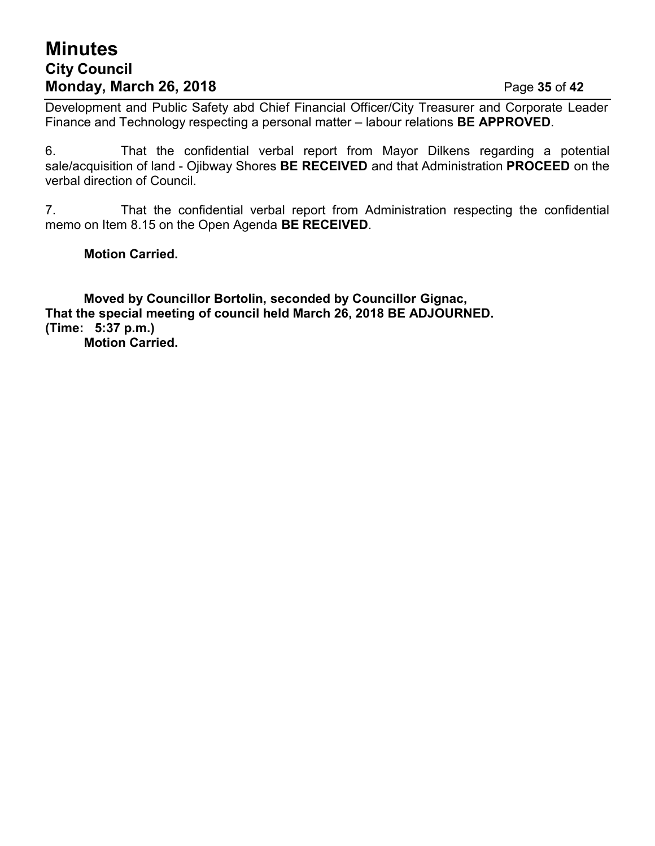# **Minutes City Council Monday, March 26, 2018** Page **35** of **42**

Development and Public Safety abd Chief Financial Officer/City Treasurer and Corporate Leader Finance and Technology respecting a personal matter – labour relations **BE APPROVED**.

6. That the confidential verbal report from Mayor Dilkens regarding a potential sale/acquisition of land - Ojibway Shores **BE RECEIVED** and that Administration **PROCEED** on the verbal direction of Council.

7. That the confidential verbal report from Administration respecting the confidential memo on Item 8.15 on the Open Agenda **BE RECEIVED**.

**Motion Carried.**

**Moved by Councillor Bortolin, seconded by Councillor Gignac, That the special meeting of council held March 26, 2018 BE ADJOURNED. (Time: 5:37 p.m.) Motion Carried.**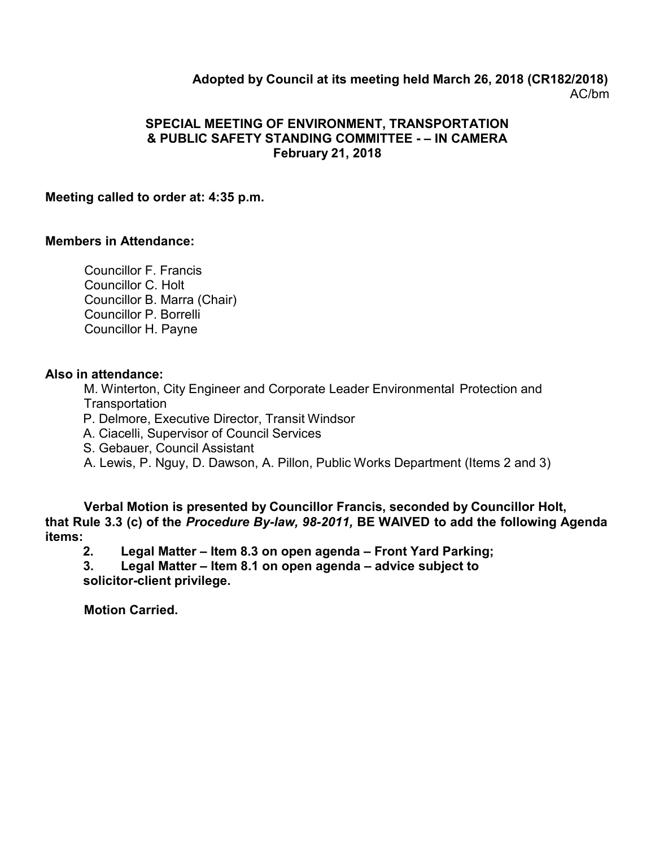### **Adopted by Council at its meeting held March 26, 2018 (CR182/2018)** AC/bm

#### **SPECIAL MEETING OF ENVIRONMENT, TRANSPORTATION & PUBLIC SAFETY STANDING COMMITTEE - – IN CAMERA February 21, 2018**

#### **Meeting called to order at: 4:35 p.m.**

#### **Members in Attendance:**

Councillor F. Francis Councillor C. Holt Councillor B. Marra (Chair) Councillor P. Borrelli Councillor H. Payne

#### **Also in attendance:**

M. Winterton, City Engineer and Corporate Leader Environmental Protection and **Transportation** 

P. Delmore, Executive Director, Transit Windsor

A. Ciacelli, Supervisor of Council Services

S. Gebauer, Council Assistant

A. Lewis, P. Nguy, D. Dawson, A. Pillon, Public Works Department (Items 2 and 3)

**Verbal Motion is presented by Councillor Francis, seconded by Councillor Holt, that Rule 3.3 (c) of the** *Procedure By-law, 98-2011,* **BE WAIVED to add the following Agenda items:**

**2. Legal Matter – Item 8.3 on open agenda – Front Yard Parking;**

**3. Legal Matter – Item 8.1 on open agenda – advice subject to solicitor-client privilege.**

**Motion Carried.**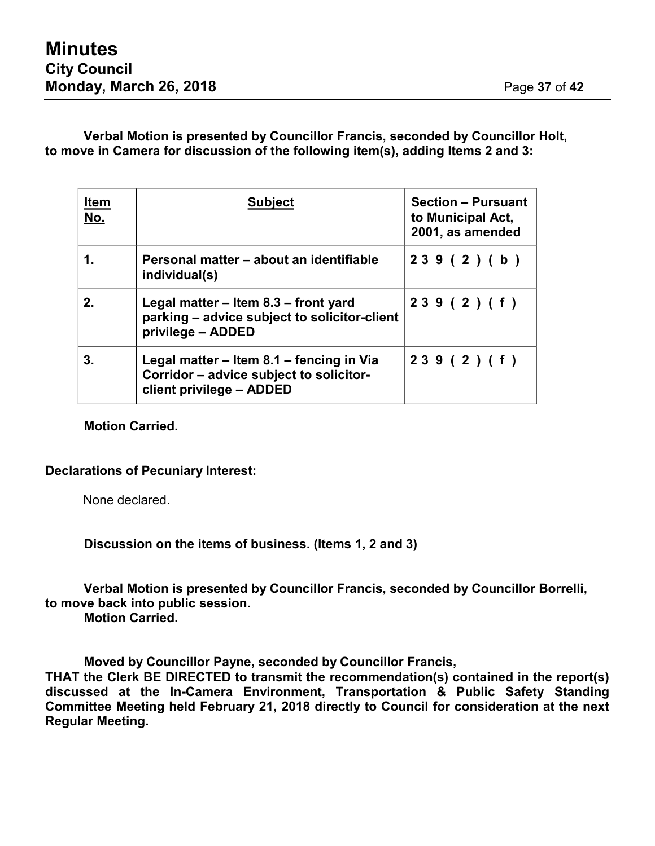**Verbal Motion is presented by Councillor Francis, seconded by Councillor Holt, to move in Camera for discussion of the following item(s), adding Items 2 and 3:**

| <u>Item</u><br>No. | <b>Subject</b>                                                                                                  | <b>Section - Pursuant</b><br>to Municipal Act,<br>2001, as amended |
|--------------------|-----------------------------------------------------------------------------------------------------------------|--------------------------------------------------------------------|
| 1.                 | Personal matter – about an identifiable<br>individual(s)                                                        | 239(2)(b)                                                          |
| 2.                 | Legal matter – Item 8.3 – front yard<br>parking – advice subject to solicitor-client<br>privilege - ADDED       | 239(2)(f)                                                          |
| 3.                 | Legal matter – Item 8.1 – fencing in Via<br>Corridor - advice subject to solicitor-<br>client privilege - ADDED | 239(2)(f)                                                          |

**Motion Carried.**

#### **Declarations of Pecuniary Interest:**

None declared.

**Discussion on the items of business. (Items 1, 2 and 3)**

**Verbal Motion is presented by Councillor Francis, seconded by Councillor Borrelli, to move back into public session.**

**Motion Carried.**

**Moved by Councillor Payne, seconded by Councillor Francis,**

**THAT the Clerk BE DIRECTED to transmit the recommendation(s) contained in the report(s) discussed at the In-Camera Environment, Transportation & Public Safety Standing Committee Meeting held February 21, 2018 directly to Council for consideration at the next Regular Meeting.**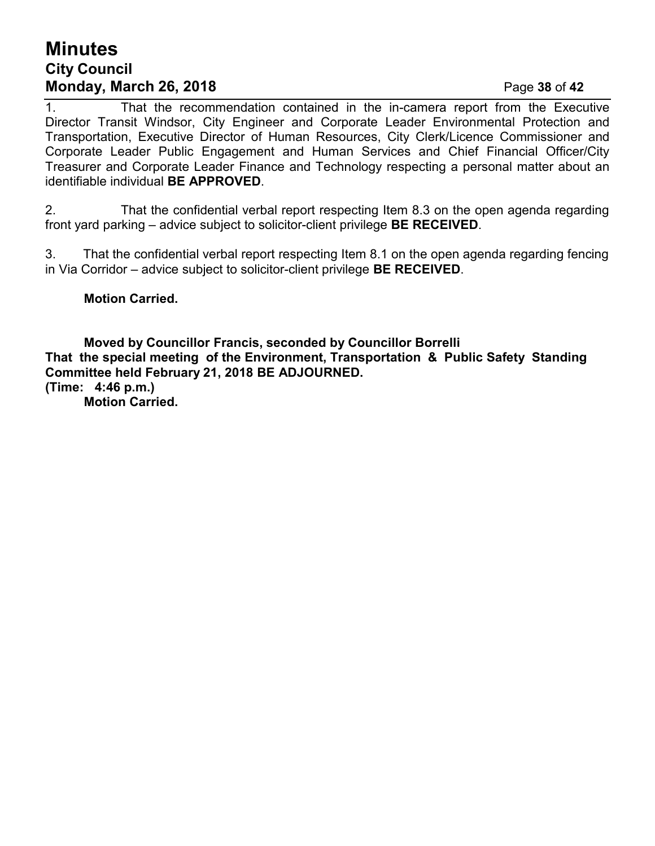# **Minutes City Council Monday, March 26, 2018** Page **38** of **42**

1. That the recommendation contained in the in-camera report from the Executive Director Transit Windsor, City Engineer and Corporate Leader Environmental Protection and Transportation, Executive Director of Human Resources, City Clerk/Licence Commissioner and Corporate Leader Public Engagement and Human Services and Chief Financial Officer/City Treasurer and Corporate Leader Finance and Technology respecting a personal matter about an identifiable individual **BE APPROVED**.

2. That the confidential verbal report respecting Item 8.3 on the open agenda regarding front yard parking – advice subject to solicitor-client privilege **BE RECEIVED**.

3. That the confidential verbal report respecting Item 8.1 on the open agenda regarding fencing in Via Corridor – advice subject to solicitor-client privilege **BE RECEIVED**.

**Motion Carried.**

**Moved by Councillor Francis, seconded by Councillor Borrelli That the special meeting of the Environment, Transportation & Public Safety Standing Committee held February 21, 2018 BE ADJOURNED. (Time: 4:46 p.m.) Motion Carried.**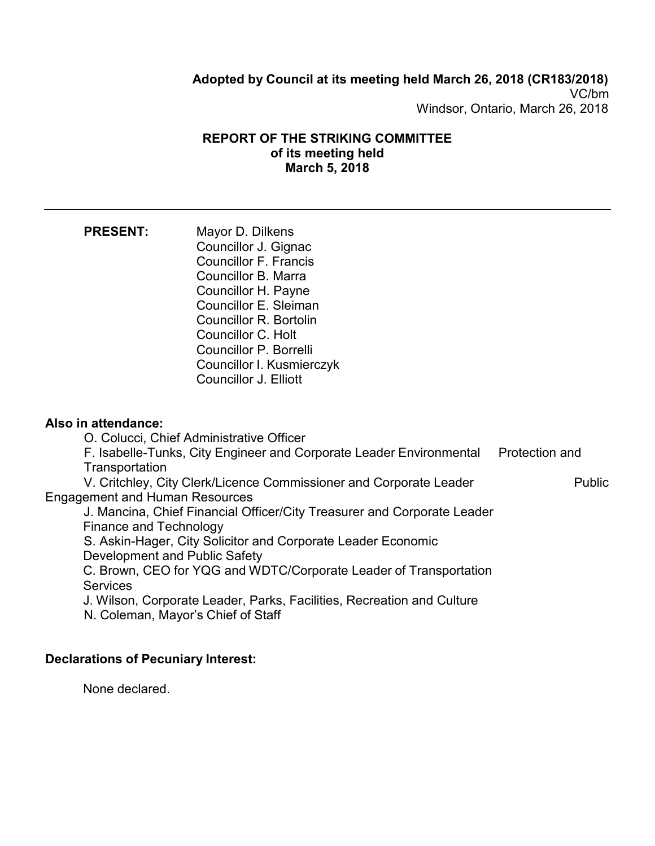### **Adopted by Council at its meeting held March 26, 2018 (CR183/2018)** VC/bm Windsor, Ontario, March 26, 2018

#### **REPORT OF THE STRIKING COMMITTEE of its meeting held March 5, 2018**

| <b>PRESENT:</b>     | Mayor D. Dilkens             |
|---------------------|------------------------------|
|                     | Councillor J. Gignac         |
|                     | <b>Councillor F. Francis</b> |
|                     | Councillor B. Marra          |
|                     | Councillor H. Payne          |
|                     | Councillor E. Sleiman        |
|                     | Councillor R. Bortolin       |
|                     | Councillor C. Holt           |
|                     | Councillor P. Borrelli       |
|                     | Councillor I. Kusmierczyk    |
|                     | Councillor J. Elliott        |
|                     |                              |
|                     |                              |
| Also in attendance: |                              |

O. Colucci, Chief Administrative Officer

F. Isabelle-Tunks, City Engineer and Corporate Leader Environmental Protection and **Transportation** 

V. Critchley, City Clerk/Licence Commissioner and Corporate Leader Public Engagement and Human Resources

J. Mancina, Chief Financial Officer/City Treasurer and Corporate Leader Finance and Technology

S. Askin-Hager, City Solicitor and Corporate Leader Economic Development and Public Safety

C. Brown, CEO for YQG and WDTC/Corporate Leader of Transportation **Services** 

J. Wilson, Corporate Leader, Parks, Facilities, Recreation and Culture N. Coleman, Mayor's Chief of Staff

### **Declarations of Pecuniary Interest:**

None declared.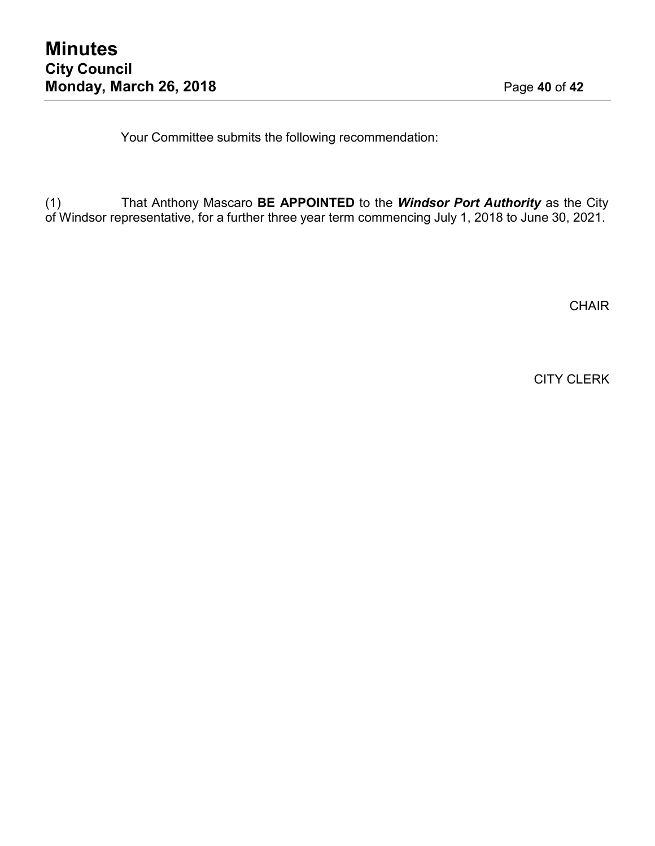Your Committee submits the following recommendation:

(1) That Anthony Mascaro **BE APPOINTED** to the *Windsor Port Authority* as the City of Windsor representative, for a further three year term commencing July 1, 2018 to June 30, 2021.

**CHAIR** 

CITY CLERK